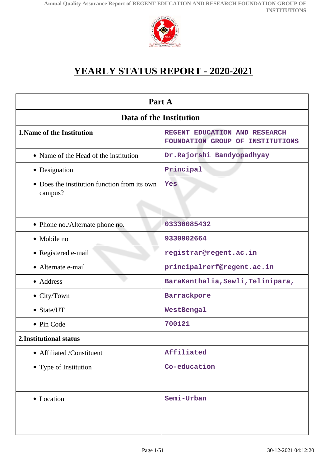

# **YEARLY STATUS REPORT - 2020-2021**

| Part A                                                  |                                                                   |  |
|---------------------------------------------------------|-------------------------------------------------------------------|--|
| Data of the Institution                                 |                                                                   |  |
| <b>1. Name of the Institution</b>                       | REGENT EDUCATION AND RESEARCH<br>FOUNDATION GROUP OF INSTITUTIONS |  |
| • Name of the Head of the institution                   | Dr.Rajorshi Bandyopadhyay                                         |  |
| • Designation                                           | Principal                                                         |  |
| • Does the institution function from its own<br>campus? | Yes                                                               |  |
| • Phone no./Alternate phone no.                         | 03330085432                                                       |  |
| • Mobile no                                             | 9330902664                                                        |  |
| • Registered e-mail                                     | registrar@regent.ac.in                                            |  |
| • Alternate e-mail                                      | principalrerf@regent.ac.in                                        |  |
| • Address                                               | BaraKanthalia, Sewli, Telinipara,                                 |  |
| • City/Town                                             | Barrackpore                                                       |  |
| • State/UT                                              | WestBengal                                                        |  |
| • Pin Code                                              | 700121                                                            |  |
| 2. Institutional status                                 |                                                                   |  |
| • Affiliated /Constituent                               | Affiliated                                                        |  |
| • Type of Institution                                   | Co-education                                                      |  |
| • Location                                              | Semi-Urban                                                        |  |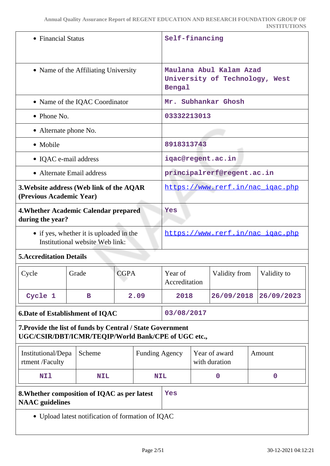|                                                                                                                   | • Financial Status |                                  |      | Self-financing           |  |                                  |                                |
|-------------------------------------------------------------------------------------------------------------------|--------------------|----------------------------------|------|--------------------------|--|----------------------------------|--------------------------------|
| • Name of the Affiliating University                                                                              |                    |                                  |      | Bengal                   |  | Maulana Abul Kalam Azad          | University of Technology, West |
| • Name of the IQAC Coordinator                                                                                    |                    |                                  |      |                          |  | Mr. Subhankar Ghosh              |                                |
| $\bullet$ Phone No.                                                                                               |                    |                                  |      | 03332213013              |  |                                  |                                |
| • Alternate phone No.                                                                                             |                    |                                  |      |                          |  |                                  |                                |
| • Mobile                                                                                                          |                    |                                  |      | 8918313743               |  |                                  |                                |
| • IQAC e-mail address                                                                                             |                    |                                  |      |                          |  | iqac@regent.ac.in                |                                |
| • Alternate Email address                                                                                         |                    |                                  |      |                          |  | principalrerf@regent.ac.in       |                                |
| 3. Website address (Web link of the AQAR<br>(Previous Academic Year)                                              |                    |                                  |      |                          |  | https://www.rerf.in/nac_igac.php |                                |
| 4. Whether Academic Calendar prepared<br>during the year?                                                         |                    | Yes                              |      |                          |  |                                  |                                |
| • if yes, whether it is uploaded in the<br>Institutional website Web link:                                        |                    | https://www.rerf.in/nac igac.php |      |                          |  |                                  |                                |
| <b>5. Accreditation Details</b>                                                                                   |                    |                                  |      |                          |  |                                  |                                |
| Cycle                                                                                                             | Grade              | <b>CGPA</b>                      |      | Year of<br>Accreditation |  | Validity from                    | Validity to                    |
| Cycle 1                                                                                                           | в                  |                                  | 2.09 | 2018                     |  | 26/09/2018                       | 26/09/2023                     |
| <b>6.Date of Establishment of IQAC</b>                                                                            |                    |                                  |      | 03/08/2017               |  |                                  |                                |
| 7. Provide the list of funds by Central / State Government<br>UGC/CSIR/DBT/ICMR/TEQIP/World Bank/CPE of UGC etc., |                    |                                  |      |                          |  |                                  |                                |
| Institutional/Depa<br>rtment /Faculty                                                                             | Scheme             |                                  |      | <b>Funding Agency</b>    |  | Year of award<br>with duration   | Amount                         |
| <b>NI1</b>                                                                                                        | <b>NIL</b>         | <b>NIL</b>                       |      |                          |  | $\mathbf 0$                      | $\mathbf 0$                    |
| 8. Whether composition of IQAC as per latest<br>Yes<br><b>NAAC</b> guidelines                                     |                    |                                  |      |                          |  |                                  |                                |
| • Upload latest notification of formation of IQAC                                                                 |                    |                                  |      |                          |  |                                  |                                |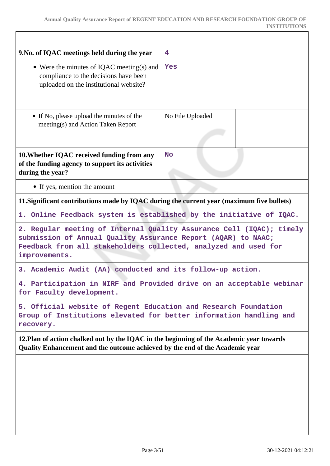r

| 9. No. of IQAC meetings held during the year                                                                                                                                                                              | 4                                                                    |  |
|---------------------------------------------------------------------------------------------------------------------------------------------------------------------------------------------------------------------------|----------------------------------------------------------------------|--|
| • Were the minutes of IQAC meeting(s) and<br>compliance to the decisions have been<br>uploaded on the institutional website?                                                                                              | Yes                                                                  |  |
| • If No, please upload the minutes of the<br>meeting(s) and Action Taken Report                                                                                                                                           | No File Uploaded                                                     |  |
| 10. Whether IQAC received funding from any<br>of the funding agency to support its activities<br>during the year?                                                                                                         | <b>No</b>                                                            |  |
| • If yes, mention the amount                                                                                                                                                                                              |                                                                      |  |
| 11. Significant contributions made by IQAC during the current year (maximum five bullets)                                                                                                                                 |                                                                      |  |
| 1. Online Feedback system is established by the initiative of IQAC.                                                                                                                                                       |                                                                      |  |
| 2. Regular meeting of Internal Quality Assurance Cell (IQAC); timely<br>submission of Annual Quality Assurance Report (AQAR) to NAAC;<br>Feedback from all stakeholders collected, analyzed and used for<br>improvements. |                                                                      |  |
| 3. Academic Audit (AA) conducted and its follow-up action.                                                                                                                                                                |                                                                      |  |
| for Faculty development.                                                                                                                                                                                                  | 4. Participation in NIRF and Provided drive on an acceptable webinar |  |
| 5. Official website of Regent Education and Research Foundation<br>Group of Institutions elevated for better information handling and<br>recovery.                                                                        |                                                                      |  |
| 12. Plan of action chalked out by the IQAC in the beginning of the Academic year towards<br>Quality Enhancement and the outcome achieved by the end of the Academic year                                                  |                                                                      |  |
|                                                                                                                                                                                                                           |                                                                      |  |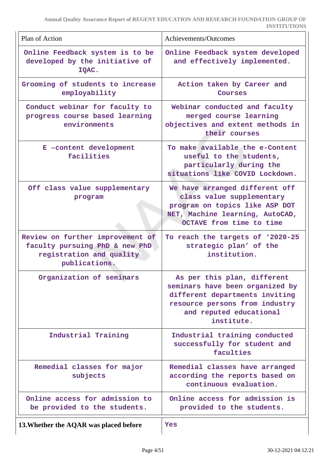| Plan of Action                                                                                                  | Achievements/Outcomes                                                                                                                                                       |
|-----------------------------------------------------------------------------------------------------------------|-----------------------------------------------------------------------------------------------------------------------------------------------------------------------------|
| Online Feedback system is to be<br>developed by the initiative of<br>IQAC.                                      | Online Feedback system developed<br>and effectively implemented.                                                                                                            |
| Grooming of students to increase<br>employability                                                               | Action taken by Career and<br>Courses                                                                                                                                       |
| Conduct webinar for faculty to<br>progress course based learning<br>environments                                | Webinar conducted and faculty<br>merged course learning<br>objectives and extent methods in<br>their courses                                                                |
| E -content development<br>facilities                                                                            | To make available the e-Content<br>useful to the students,<br>particularly during the<br>situations like COVID Lockdown.                                                    |
| Off class value supplementary<br>program                                                                        | We have arranged different off<br>class value supplementary<br>program on topics like ASP DOT<br>NET, Machine learning, AutoCAD,<br>OCTAVE from time to time                |
| Review on further improvement of<br>faculty pursuing PhD & new PhD<br>registration and quality<br>publications. | To reach the targets of '2020-25<br>strategic plan' of the<br>institution.                                                                                                  |
| Organization of seminars                                                                                        | As per this plan, different<br>seminars have been organized by<br>different departments inviting<br>resource persons from industry<br>and reputed educational<br>institute. |
| Industrial Training                                                                                             | Industrial training conducted<br>successfully for student and<br>faculties                                                                                                  |
| Remedial classes for major<br>subjects                                                                          | Remedial classes have arranged<br>according the reports based on<br>continuous evaluation.                                                                                  |
| Online access for admission to<br>be provided to the students.                                                  | Online access for admission is<br>provided to the students.                                                                                                                 |
| 13. Whether the AQAR was placed before                                                                          | Yes                                                                                                                                                                         |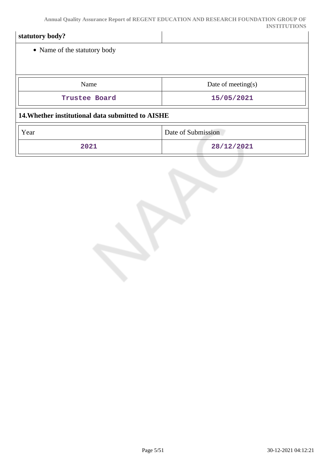| statutory body?                                   |                       |
|---------------------------------------------------|-----------------------|
| • Name of the statutory body                      |                       |
|                                                   |                       |
| Name                                              | Date of meeting $(s)$ |
| Trustee Board                                     | 15/05/2021            |
| 14. Whether institutional data submitted to AISHE |                       |
| Year                                              | Date of Submission    |
| 2021                                              | 28/12/2021            |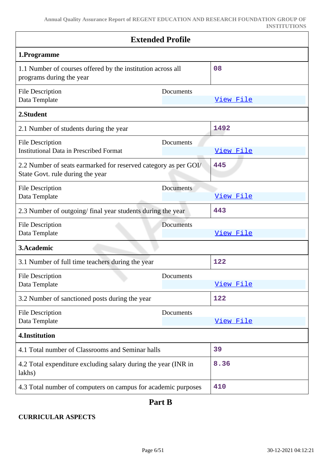| <b>Extended Profile</b>                                                                             |           |           |
|-----------------------------------------------------------------------------------------------------|-----------|-----------|
| 1.Programme                                                                                         |           |           |
| 1.1 Number of courses offered by the institution across all<br>programs during the year             |           | 08        |
| <b>File Description</b><br>Data Template                                                            | Documents | View File |
| 2.Student                                                                                           |           |           |
| 2.1 Number of students during the year                                                              |           | 1492      |
| <b>File Description</b><br><b>Institutional Data in Prescribed Format</b>                           | Documents | View File |
| 2.2 Number of seats earmarked for reserved category as per GOI/<br>State Govt. rule during the year |           | 445       |
| <b>File Description</b><br>Data Template                                                            | Documents | View File |
| 2.3 Number of outgoing/final year students during the year                                          |           | 443       |
| <b>File Description</b><br>Data Template                                                            | Documents | View File |
| 3. Academic                                                                                         |           |           |
| 3.1 Number of full time teachers during the year                                                    |           | 122       |
| <b>File Description</b><br>Data Template                                                            | Documents | View File |
| 3.2 Number of sanctioned posts during the year                                                      |           | 122       |
| <b>File Description</b><br>Data Template                                                            | Documents | View File |
| 4.Institution                                                                                       |           |           |
| 4.1 Total number of Classrooms and Seminar halls                                                    |           | 39        |
| 4.2 Total expenditure excluding salary during the year (INR in<br>lakhs)                            |           | 8.36      |
| 4.3 Total number of computers on campus for academic purposes                                       |           | 410       |

# **Part B**

# **CURRICULAR ASPECTS**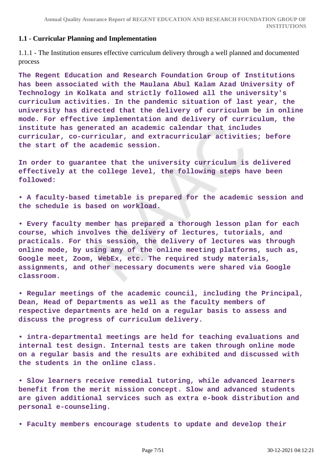#### **1.1 - Curricular Planning and Implementation**

1.1.1 - The Institution ensures effective curriculum delivery through a well planned and documented process

**The Regent Education and Research Foundation Group of Institutions has been associated with the Maulana Abul Kalam Azad University of Technology in Kolkata and strictly followed all the university's curriculum activities. In the pandemic situation of last year, the university has directed that the delivery of curriculum be in online mode. For effective implementation and delivery of curriculum, the institute has generated an academic calendar that includes curricular, co-curricular, and extracurricular activities; before the start of the academic session.** 

**In order to guarantee that the university curriculum is delivered effectively at the college level, the following steps have been followed:**

**• A faculty-based timetable is prepared for the academic session and the schedule is based on workload.** 

**• Every faculty member has prepared a thorough lesson plan for each course, which involves the delivery of lectures, tutorials, and practicals. For this session, the delivery of lectures was through online mode, by using any of the online meeting platforms, such as, Google meet, Zoom, WebEx, etc. The required study materials, assignments, and other necessary documents were shared via Google classroom.**

**• Regular meetings of the academic council, including the Principal, Dean, Head of Departments as well as the faculty members of respective departments are held on a regular basis to assess and discuss the progress of curriculum delivery.**

**• intra-departmental meetings are held for teaching evaluations and internal test design. Internal tests are taken through online mode on a regular basis and the results are exhibited and discussed with the students in the online class.**

**• Slow learners receive remedial tutoring, while advanced learners benefit from the merit mission concept. Slow and advanced students are given additional services such as extra e-book distribution and personal e-counseling.** 

**• Faculty members encourage students to update and develop their**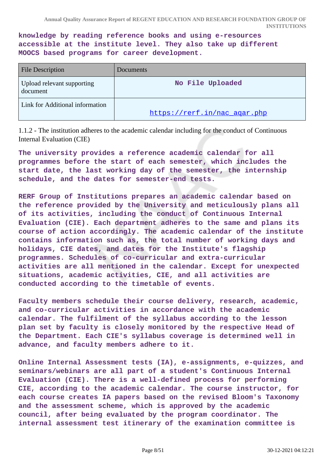**knowledge by reading reference books and using e-resources accessible at the institute level. They also take up different MOOCS based programs for career development.** 

| <b>File Description</b>                | Documents                    |
|----------------------------------------|------------------------------|
| Upload relevant supporting<br>document | No File Uploaded             |
| Link for Additional information        | https://rerf.in/nac agar.php |

1.1.2 - The institution adheres to the academic calendar including for the conduct of Continuous Internal Evaluation (CIE)

**The university provides a reference academic calendar for all programmes before the start of each semester, which includes the start date, the last working day of the semester, the internship schedule, and the dates for semester-end tests.**

**RERF Group of Institutions prepares an academic calendar based on the reference provided by the University and meticulously plans all of its activities, including the conduct of Continuous Internal Evaluation (CIE). Each department adheres to the same and plans its course of action accordingly. The academic calendar of the institute contains information such as, the total number of working days and holidays, CIE dates, and dates for the Institute's flagship programmes. Schedules of co-curricular and extra-curricular activities are all mentioned in the calendar. Except for unexpected situations, academic activities, CIE, and all activities are conducted according to the timetable of events.**

**Faculty members schedule their course delivery, research, academic, and co-curricular activities in accordance with the academic calendar. The fulfilment of the syllabus according to the lesson plan set by faculty is closely monitored by the respective Head of the Department. Each CIE's syllabus coverage is determined well in advance, and faculty members adhere to it.**

**Online Internal Assessment tests (IA), e-assignments, e-quizzes, and seminars/webinars are all part of a student's Continuous Internal Evaluation (CIE). There is a well-defined process for performing CIE, according to the academic calendar. The course instructor, for each course creates IA papers based on the revised Bloom's Taxonomy and the assessment scheme, which is approved by the academic council, after being evaluated by the program coordinator. The internal assessment test itinerary of the examination committee is**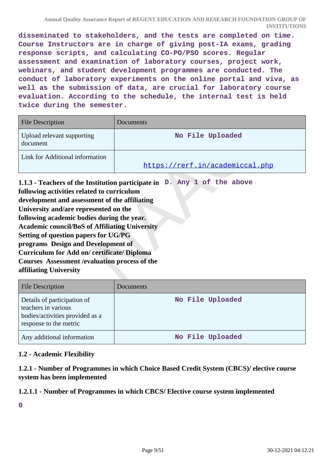**disseminated to stakeholders, and the tests are completed on time. Course Instructors are in charge of giving post-IA exams, grading response scripts, and calculating CO-PO/PSO scores. Regular assessment and examination of laboratory courses, project work, webinars, and student development programmes are conducted. The conduct of laboratory experiments on the online portal and viva, as well as the submission of data, are crucial for laboratory course evaluation. According to the schedule, the internal test is held twice during the semester.** 

| <b>File Description</b>                | Documents                       |
|----------------------------------------|---------------------------------|
| Upload relevant supporting<br>document | No File Uploaded                |
| Link for Additional information        | https://rerf.in/academiccal.php |

**1.1.3 - Teachers of the Institution participate in D. Any 1 of the above following activities related to curriculum development and assessment of the affiliating University and/are represented on the following academic bodies during the year. Academic council/BoS of Affiliating University Setting of question papers for UG/PG programs Design and Development of Curriculum for Add on/ certificate/ Diploma Courses Assessment /evaluation process of the affiliating University**

| <b>File Description</b>                                                                                         | Documents        |
|-----------------------------------------------------------------------------------------------------------------|------------------|
| Details of participation of<br>teachers in various<br>bodies/activities provided as a<br>response to the metric | No File Uploaded |
| Any additional information                                                                                      | No File Uploaded |

# **1.2 - Academic Flexibility**

**1.2.1 - Number of Programmes in which Choice Based Credit System (CBCS)/ elective course system has been implemented**

# **1.2.1.1 - Number of Programmes in which CBCS/ Elective course system implemented**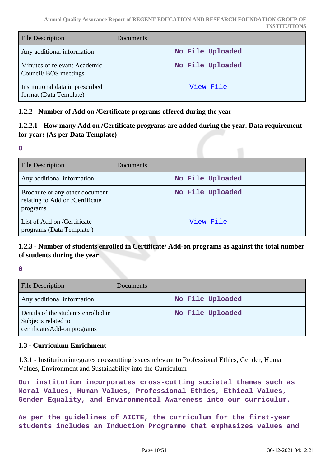| <b>File Description</b>                                    | Documents        |
|------------------------------------------------------------|------------------|
| Any additional information                                 | No File Uploaded |
| Minutes of relevant Academic<br>Council/BOS meetings       | No File Uploaded |
| Institutional data in prescribed<br>format (Data Template) | View File        |

# **1.2.2 - Number of Add on /Certificate programs offered during the year**

# **1.2.2.1 - How many Add on /Certificate programs are added during the year. Data requirement for year: (As per Data Template)**

**0**

| <b>File Description</b>                                                       | <b>Documents</b> |
|-------------------------------------------------------------------------------|------------------|
| Any additional information                                                    | No File Uploaded |
| Brochure or any other document<br>relating to Add on /Certificate<br>programs | No File Uploaded |
| List of Add on /Certificate<br>programs (Data Template)                       | View File        |

# **1.2.3 - Number of students enrolled in Certificate/ Add-on programs as against the total number of students during the year**

**0**

| <b>File Description</b>                                                                   | <b>Documents</b> |
|-------------------------------------------------------------------------------------------|------------------|
| Any additional information                                                                | No File Uploaded |
| Details of the students enrolled in<br>Subjects related to<br>certificate/Add-on programs | No File Uploaded |

#### **1.3 - Curriculum Enrichment**

1.3.1 - Institution integrates crosscutting issues relevant to Professional Ethics, Gender, Human Values, Environment and Sustainability into the Curriculum

**Our institution incorporates cross-cutting societal themes such as Moral Values, Human Values, Professional Ethics, Ethical Values, Gender Equality, and Environmental Awareness into our curriculum.**

**As per the guidelines of AICTE, the curriculum for the first-year students includes an Induction Programme that emphasizes values and**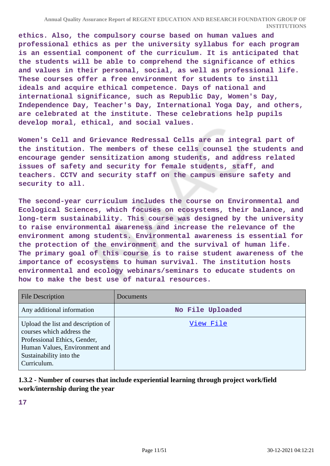**ethics. Also, the compulsory course based on human values and professional ethics as per the university syllabus for each program is an essential component of the curriculum. It is anticipated that the students will be able to comprehend the significance of ethics and values in their personal, social, as well as professional life. These courses offer a free environment for students to instill ideals and acquire ethical competence. Days of national and international significance, such as Republic Day, Women's Day, Independence Day, Teacher's Day, International Yoga Day, and others, are celebrated at the institute. These celebrations help pupils develop moral, ethical, and social values.**

**Women's Cell and Grievance Redressal Cells are an integral part of the institution. The members of these cells counsel the students and encourage gender sensitization among students, and address related issues of safety and security for female students, staff, and teachers. CCTV and security staff on the campus ensure safety and security to all.**

**The second-year curriculum includes the course on Environmental and Ecological Sciences, which focuses on ecosystems, their balance, and long-term sustainability. This course was designed by the university to raise environmental awareness and increase the relevance of the environment among students. Environmental awareness is essential for the protection of the environment and the survival of human life. The primary goal of this course is to raise student awareness of the importance of ecosystems to human survival. The institution hosts environmental and ecology webinars/seminars to educate students on how to make the best use of natural resources.**

| <b>File Description</b>                                                                                                                                                    | Documents        |
|----------------------------------------------------------------------------------------------------------------------------------------------------------------------------|------------------|
| Any additional information                                                                                                                                                 | No File Uploaded |
| Upload the list and description of<br>courses which address the<br>Professional Ethics, Gender,<br>Human Values, Environment and<br>Sustainability into the<br>Curriculum. | View File        |

# **1.3.2 - Number of courses that include experiential learning through project work/field work/internship during the year**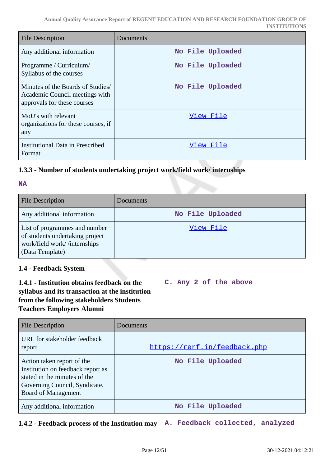| <b>File Description</b>                                                                            | Documents        |
|----------------------------------------------------------------------------------------------------|------------------|
| Any additional information                                                                         | No File Uploaded |
| Programme / Curriculum/<br>Syllabus of the courses                                                 | No File Uploaded |
| Minutes of the Boards of Studies/<br>Academic Council meetings with<br>approvals for these courses | No File Uploaded |
| MoU's with relevant<br>organizations for these courses, if<br>any                                  | View File        |
| <b>Institutional Data in Prescribed</b><br>Format                                                  | View File        |

# **1.3.3 - Number of students undertaking project work/field work/ internships**

#### **NA**

| <b>File Description</b>                                                                                             | Documents        |
|---------------------------------------------------------------------------------------------------------------------|------------------|
| Any additional information                                                                                          | No File Uploaded |
| List of programmes and number<br>of students undertaking project<br>work/field work//internships<br>(Data Template) | View File        |

# **1.4 - Feedback System**

# **1.4.1 - Institution obtains feedback on the syllabus and its transaction at the institution from the following stakeholders Students Teachers Employers Alumni**

**C. Any 2 of the above**

| <b>File Description</b>                                                                                                                                 | Documents                    |
|---------------------------------------------------------------------------------------------------------------------------------------------------------|------------------------------|
| URL for stakeholder feedback<br>report                                                                                                                  | https://rerf.in/feedback.php |
| Action taken report of the<br>Institution on feedback report as<br>stated in the minutes of the<br>Governing Council, Syndicate,<br>Board of Management | No File Uploaded             |
| Any additional information                                                                                                                              | No File Uploaded             |

**1.4.2 - Feedback process of the Institution may A. Feedback collected, analyzed**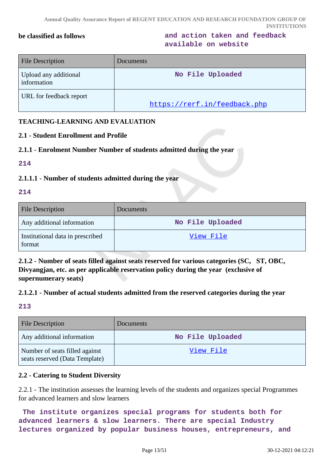**be classified as follows and action taken and feedback available on website**

| <b>File Description</b>              | Documents                    |
|--------------------------------------|------------------------------|
| Upload any additional<br>information | No File Uploaded             |
| URL for feedback report              | https://rerf.in/feedback.php |

# **TEACHING-LEARNING AND EVALUATION**

#### **2.1 - Student Enrollment and Profile**

#### **2.1.1 - Enrolment Number Number of students admitted during the year**

**214**

#### **2.1.1.1 - Number of students admitted during the year**

#### **214**

| <b>File Description</b>                    | <b>Documents</b> |
|--------------------------------------------|------------------|
| Any additional information                 | No File Uploaded |
| Institutional data in prescribed<br>format | View File        |

**2.1.2 - Number of seats filled against seats reserved for various categories (SC, ST, OBC, Divyangjan, etc. as per applicable reservation policy during the year (exclusive of supernumerary seats)**

#### **2.1.2.1 - Number of actual students admitted from the reserved categories during the year**

# **213**

| <b>File Description</b>                                          | <b>Documents</b> |
|------------------------------------------------------------------|------------------|
| Any additional information                                       | No File Uploaded |
| Number of seats filled against<br>seats reserved (Data Template) | View File        |

# **2.2 - Catering to Student Diversity**

2.2.1 - The institution assesses the learning levels of the students and organizes special Programmes for advanced learners and slow learners

 **The institute organizes special programs for students both for advanced learners & slow learners. There are special Industry lectures organized by popular business houses, entrepreneurs, and**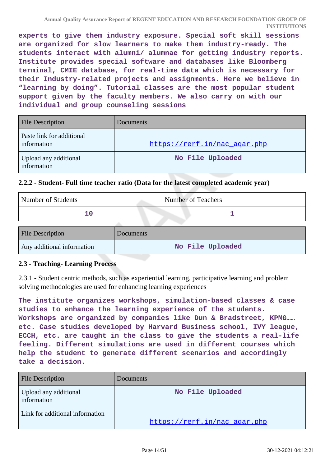**experts to give them industry exposure. Special soft skill sessions are organized for slow learners to make them industry-ready. The students interact with alumni/ alumnae for getting industry reports. Institute provides special software and databases like Bloomberg terminal, CMIE database, for real-time data which is necessary for their Industry-related projects and assignments. Here we believe in "learning by doing". Tutorial classes are the most popular student support given by the faculty members. We also carry on with our individual and group counseling sessions**

| <b>File Description</b>                  | Documents                    |
|------------------------------------------|------------------------------|
| Paste link for additional<br>information | https://rerf.in/nac_agar.php |
| Upload any additional<br>information     | No File Uploaded             |

#### **2.2.2 - Student- Full time teacher ratio (Data for the latest completed academic year)**

| Number of Students | <b>Number of Teachers</b> |
|--------------------|---------------------------|
|                    |                           |
|                    |                           |

| <b>File Description</b>    | Documents        |
|----------------------------|------------------|
| Any additional information | No File Uploaded |

#### **2.3 - Teaching- Learning Process**

2.3.1 - Student centric methods, such as experiential learning, participative learning and problem solving methodologies are used for enhancing learning experiences

**The institute organizes workshops, simulation-based classes & case studies to enhance the learning experience of the students. Workshops are organized by companies like Dun & Bradstreet, KPMG…… etc. Case studies developed by Harvard Business school, IVY league, ECCH, etc. are taught in the class to give the students a real-life feeling. Different simulations are used in different courses which help the student to generate different scenarios and accordingly take a decision.** 

| <b>File Description</b>              | Documents                    |
|--------------------------------------|------------------------------|
| Upload any additional<br>information | No File Uploaded             |
| Link for additional information      | https://rerf.in/nac_agar.php |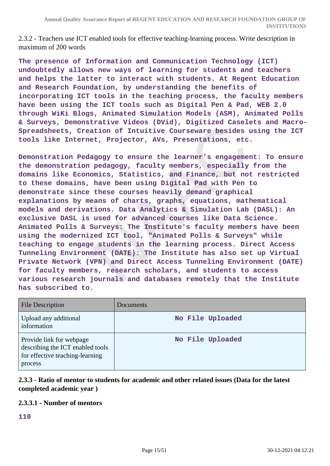2.3.2 - Teachers use ICT enabled tools for effective teaching-learning process. Write description in maximum of 200 words

**The presence of Information and Communication Technology (ICT) undoubtedly allows new ways of learning for students and teachers and helps the latter to interact with students. At Regent Education and Research Foundation, by understanding the benefits of incorporating ICT tools in the teaching process, the faculty members have been using the ICT tools such as Digital Pen & Pad, WEB 2.0 through WiKi Blogs, Animated Simulation Models (ASM), Animated Polls & Surveys, Demonstrative Videos (DVid), Digitized Caselets and Macro-Spreadsheets, Creation of Intuitive Courseware besides using the ICT tools like Internet, Projector, AVs, Presentations, etc.**

**Demonstration Pedagogy to ensure the learner's engagement: To ensure the demonstration pedagogy, faculty members, especially from the domains like Economics, Statistics, and Finance, but not restricted to these domains, have been using Digital Pad with Pen to demonstrate since these courses heavily demand graphical explanations by means of charts, graphs, equations, mathematical models and derivations. Data Analytics & Simulation Lab (DASL): An exclusive DASL is used for advanced courses like Data Science. Animated Polls & Surveys: The Institute's faculty members have been using the modernized ICT tool, "Animated Polls & Surveys" while teaching to engage students in the learning process. Direct Access Tunneling Environment (DATE): The Institute has also set up Virtual Private Network (VPN) and Direct Access Tunneling Environment (DATE) for faculty members, research scholars, and students to access various research journals and databases remotely that the Institute has subscribed to.**

| <b>File Description</b>                                                                                    | <b>Documents</b> |
|------------------------------------------------------------------------------------------------------------|------------------|
| Upload any additional<br>information                                                                       | No File Uploaded |
| Provide link for webpage<br>describing the ICT enabled tools<br>for effective teaching-learning<br>process | No File Uploaded |

**2.3.3 - Ratio of mentor to students for academic and other related issues (Data for the latest completed academic year )**

#### **2.3.3.1 - Number of mentors**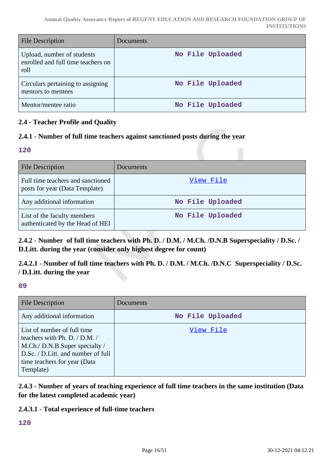| <b>File Description</b>                                                  | Documents        |
|--------------------------------------------------------------------------|------------------|
| Upload, number of students<br>enrolled and full time teachers on<br>roll | No File Uploaded |
| Circulars pertaining to assigning<br>mentors to mentees                  | No File Uploaded |
| Mentor/mentee ratio                                                      | No File Uploaded |

# **2.4 - Teacher Profile and Quality**

# **2.4.1 - Number of full time teachers against sanctioned posts during the year**

#### **120**

| <b>File Description</b>                                             | <b>Documents</b> |
|---------------------------------------------------------------------|------------------|
| Full time teachers and sanctioned<br>posts for year (Data Template) | View File        |
| Any additional information                                          | No File Uploaded |
| List of the faculty members<br>authenticated by the Head of HEI     | No File Uploaded |

**2.4.2 - Number of full time teachers with Ph. D. / D.M. / M.Ch. /D.N.B Superspeciality / D.Sc. / D.Litt. during the year (consider only highest degree for count)**

**2.4.2.1 - Number of full time teachers with Ph. D. / D.M. / M.Ch. /D.N.C Superspeciality / D.Sc. / D.Litt. during the year**

**09**

| <b>File Description</b>                                                                                                                                                            | Documents        |
|------------------------------------------------------------------------------------------------------------------------------------------------------------------------------------|------------------|
| Any additional information                                                                                                                                                         | No File Uploaded |
| List of number of full time<br>teachers with Ph. D. / D.M. /<br>M.Ch./ D.N.B Super specialty /<br>D.Sc. / D.Litt. and number of full<br>time teachers for year (Data)<br>Template) | <u>View File</u> |

**2.4.3 - Number of years of teaching experience of full time teachers in the same institution (Data for the latest completed academic year)**

#### **2.4.3.1 - Total experience of full-time teachers**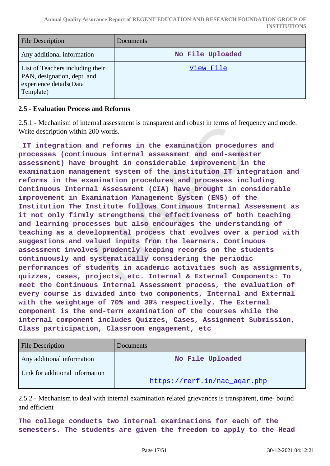| File Description                                                                                        | <b>Documents</b> |
|---------------------------------------------------------------------------------------------------------|------------------|
| Any additional information                                                                              | No File Uploaded |
| List of Teachers including their<br>PAN, designation, dept. and<br>experience details(Data<br>Template) | View File        |

#### **2.5 - Evaluation Process and Reforms**

2.5.1 - Mechanism of internal assessment is transparent and robust in terms of frequency and mode. Write description within 200 words.

 **IT integration and reforms in the examination procedures and processes (continuous internal assessment and end-semester assessment) have brought in considerable improvement in the examination management system of the institution IT integration and reforms in the examination procedures and processes including Continuous Internal Assessment (CIA) have brought in considerable improvement in Examination Management System (EMS) of the Institution The Institute follows Continuous Internal Assessment as it not only firmly strengthens the effectiveness of both teaching and learning processes but also encourages the understanding of teaching as a developmental process that evolves over a period with suggestions and valued inputs from the learners. Continuous assessment involves prudently keeping records on the students continuously and systematically considering the periodic performances of students in academic activities such as assignments, quizzes, cases, projects, etc. Internal & External Components: To meet the Continuous Internal Assessment process, the evaluation of every course is divided into two components, Internal and External with the weightage of 70% and 30% respectively. The External component is the end-term examination of the courses while the internal component includes Quizzes, Cases, Assignment Submission, Class participation, Classroom engagement, etc**

| <b>File Description</b>         | <b>Documents</b>             |
|---------------------------------|------------------------------|
| Any additional information      | No File Uploaded             |
| Link for additional information | https://rerf.in/nac agar.php |

2.5.2 - Mechanism to deal with internal examination related grievances is transparent, time- bound and efficient

**The college conducts two internal examinations for each of the semesters. The students are given the freedom to apply to the Head**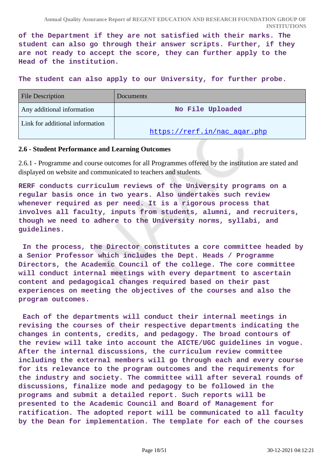**of the Department if they are not satisfied with their marks. The student can also go through their answer scripts. Further, if they are not ready to accept the score, they can further apply to the Head of the institution.**

**The student can also apply to our University, for further probe.** 

| <b>File Description</b>         | <b>Documents</b>             |
|---------------------------------|------------------------------|
| Any additional information      | No File Uploaded             |
| Link for additional information |                              |
|                                 | https://rerf.in/nac agar.php |

#### **2.6 - Student Performance and Learning Outcomes**

2.6.1 - Programme and course outcomes for all Programmes offered by the institution are stated and displayed on website and communicated to teachers and students.

**RERF conducts curriculum reviews of the University programs on a regular basis once in two years. Also undertakes such review whenever required as per need. It is a rigorous process that involves all faculty, inputs from students, alumni, and recruiters, though we need to adhere to the University norms, syllabi, and guidelines.**

 **In the process, the Director constitutes a core committee headed by a Senior Professor which includes the Dept. Heads / Programme Directors, the Academic Council of the college. The core committee will conduct internal meetings with every department to ascertain content and pedagogical changes required based on their past experiences on meeting the objectives of the courses and also the program outcomes.**

 **Each of the departments will conduct their internal meetings in revising the courses of their respective departments indicating the changes in contents, credits, and pedagogy. The broad contours of the review will take into account the AICTE/UGC guidelines in vogue. After the internal discussions, the curriculum review committee including the external members will go through each and every course for its relevance to the program outcomes and the requirements for the industry and society. The committee will after several rounds of discussions, finalize mode and pedagogy to be followed in the programs and submit a detailed report. Such reports will be presented to the Academic Council and Board of Management for ratification. The adopted report will be communicated to all faculty by the Dean for implementation. The template for each of the courses**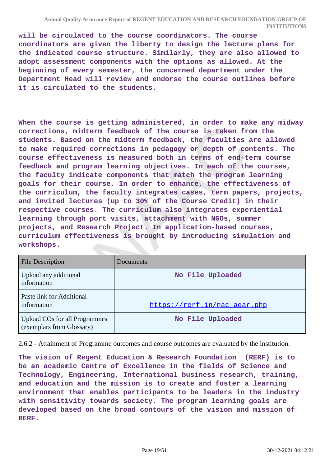**will be circulated to the course coordinators. The course coordinators are given the liberty to design the lecture plans for the indicated course structure. Similarly, they are also allowed to adopt assessment components with the options as allowed. At the beginning of every semester, the concerned department under the Department Head will review and endorse the course outlines before it is circulated to the students.**

**When the course is getting administered, in order to make any midway corrections, midterm feedback of the course is taken from the students. Based on the midterm feedback, the faculties are allowed to make required corrections in pedagogy or depth of contents. The course effectiveness is measured both in terms of end-term course feedback and program learning objectives. In each of the courses, the faculty indicate components that match the program learning goals for their course. In order to enhance, the effectiveness of the curriculum, the faculty integrates cases, term papers, projects, and invited lectures (up to 30% of the Course Credit) in their respective courses. The curriculum also integrates experiential learning through port visits, attachment with NGOs, summer projects, and Research Project. In application-based courses, curriculum effectiveness is brought by introducing simulation and workshops.**

| <b>File Description</b>                                           | Documents                    |
|-------------------------------------------------------------------|------------------------------|
| Upload any additional<br>information                              | No File Uploaded             |
| Paste link for Additional<br>information                          | https://rerf.in/nac agar.php |
| <b>Upload COs for all Programmes</b><br>(exemplars from Glossary) | No File Uploaded             |

2.6.2 - Attainment of Programme outcomes and course outcomes are evaluated by the institution.

**The vision of Regent Education & Research Foundation (RERF) is to be an academic Centre of Excellence in the fields of Science and Technology, Engineering, International business research, training, and education and the mission is to create and foster a learning environment that enables participants to be leaders in the industry with sensitivity towards society. The program learning goals are developed based on the broad contours of the vision and mission of RERF.**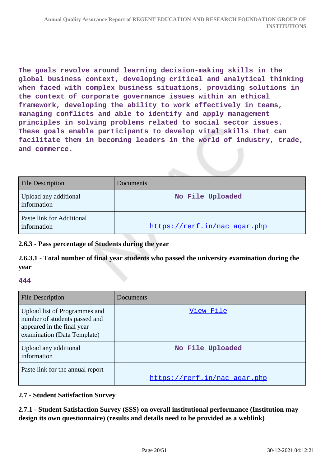**The goals revolve around learning decision-making skills in the global business context, developing critical and analytical thinking when faced with complex business situations, providing solutions in the context of corporate governance issues within an ethical framework, developing the ability to work effectively in teams, managing conflicts and able to identify and apply management principles in solving problems related to social sector issues. These goals enable participants to develop vital skills that can facilitate them in becoming leaders in the world of industry, trade, and commerce.**

| <b>File Description</b>                  | Documents                    |
|------------------------------------------|------------------------------|
| Upload any additional<br>information     | No File Uploaded             |
| Paste link for Additional<br>information | https://rerf.in/nac_agar.php |

# **2.6.3 - Pass percentage of Students during the year**

**2.6.3.1 - Total number of final year students who passed the university examination during the year**

# **444**

| <b>File Description</b>                                                                                                     | Documents                    |
|-----------------------------------------------------------------------------------------------------------------------------|------------------------------|
| Upload list of Programmes and<br>number of students passed and<br>appeared in the final year<br>examination (Data Template) | View File                    |
| Upload any additional<br>information                                                                                        | No File Uploaded             |
| Paste link for the annual report                                                                                            | https://rerf.in/nac agar.php |

#### **2.7 - Student Satisfaction Survey**

**2.7.1 - Student Satisfaction Survey (SSS) on overall institutional performance (Institution may design its own questionnaire) (results and details need to be provided as a weblink)**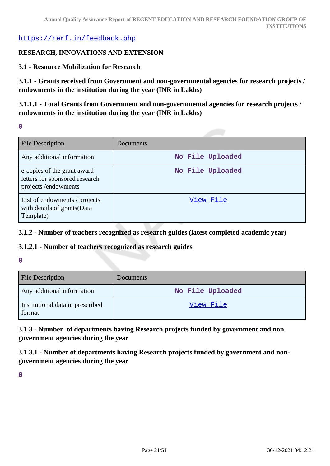<https://rerf.in/feedback.php>

#### **RESEARCH, INNOVATIONS AND EXTENSION**

#### **3.1 - Resource Mobilization for Research**

**3.1.1 - Grants received from Government and non-governmental agencies for research projects / endowments in the institution during the year (INR in Lakhs)**

**3.1.1.1 - Total Grants from Government and non-governmental agencies for research projects / endowments in the institution during the year (INR in Lakhs)**

**0**

| <b>File Description</b>                                                              | Documents        |
|--------------------------------------------------------------------------------------|------------------|
| Any additional information                                                           | No File Uploaded |
| e-copies of the grant award<br>letters for sponsored research<br>projects/endowments | No File Uploaded |
| List of endowments / projects<br>with details of grants (Data<br>Template)           | View File        |

**3.1.2 - Number of teachers recognized as research guides (latest completed academic year)**

#### **3.1.2.1 - Number of teachers recognized as research guides**

#### **0**

| <b>File Description</b>                    | <b>Documents</b> |
|--------------------------------------------|------------------|
| Any additional information                 | No File Uploaded |
| Institutional data in prescribed<br>format | View File        |

**3.1.3 - Number of departments having Research projects funded by government and non government agencies during the year**

**3.1.3.1 - Number of departments having Research projects funded by government and nongovernment agencies during the year**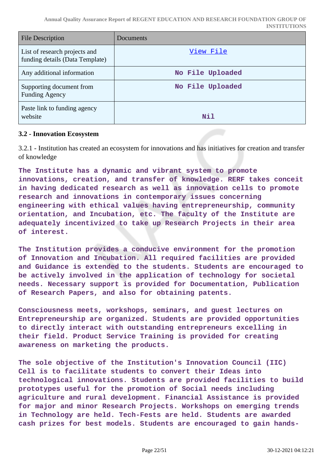| <b>File Description</b>                                          | Documents        |
|------------------------------------------------------------------|------------------|
| List of research projects and<br>funding details (Data Template) | View File        |
| Any additional information                                       | No File Uploaded |
| Supporting document from<br><b>Funding Agency</b>                | No File Uploaded |
| Paste link to funding agency<br>website                          | Nil              |

#### **3.2 - Innovation Ecosystem**

3.2.1 - Institution has created an ecosystem for innovations and has initiatives for creation and transfer of knowledge

**The Institute has a dynamic and vibrant system to promote innovations, creation, and transfer of knowledge. RERF takes conceit in having dedicated research as well as innovation cells to promote research and innovations in contemporary issues concerning engineering with ethical values having entrepreneurship, community orientation, and Incubation, etc. The faculty of the Institute are adequately incentivized to take up Research Projects in their area of interest.**

**The Institution provides a conducive environment for the promotion of Innovation and Incubation. All required facilities are provided and Guidance is extended to the students. Students are encouraged to be actively involved in the application of technology for societal needs. Necessary support is provided for Documentation, Publication of Research Papers, and also for obtaining patents.**

**Consciousness meets, workshops, seminars, and guest lectures on Entrepreneurship are organized. Students are provided opportunities to directly interact with outstanding entrepreneurs excelling in their field. Product Service Training is provided for creating awareness on marketing the products.**

**The sole objective of the Institution's Innovation Council (IIC) Cell is to facilitate students to convert their Ideas into technological innovations. Students are provided facilities to build prototypes useful for the promotion of Social needs including agriculture and rural development. Financial Assistance is provided for major and minor Research Projects. Workshops on emerging trends in Technology are held. Tech-Fests are held. Students are awarded cash prizes for best models. Students are encouraged to gain hands-**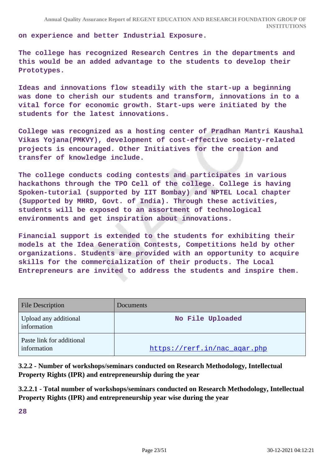**on experience and better Industrial Exposure.**

**The college has recognized Research Centres in the departments and this would be an added advantage to the students to develop their Prototypes.**

**Ideas and innovations flow steadily with the start-up a beginning was done to cherish our students and transform, innovations in to a vital force for economic growth. Start-ups were initiated by the students for the latest innovations.**

**College was recognized as a hosting center of Pradhan Mantri Kaushal Vikas Yojana(PMKVY), development of cost-effective society-related projects is encouraged. Other Initiatives for the creation and transfer of knowledge include.**

**The college conducts coding contests and participates in various hackathons through the TPO Cell of the college. College is having Spoken-tutorial (supported by IIT Bombay) and NPTEL Local chapter (Supported by MHRD, Govt. of India). Through these activities, students will be exposed to an assortment of technological environments and get inspiration about innovations.**

**Financial support is extended to the students for exhibiting their models at the Idea Generation Contests, Competitions held by other organizations. Students are provided with an opportunity to acquire skills for the commercialization of their products. The Local Entrepreneurs are invited to address the students and inspire them.**

| <b>File Description</b>                  | Documents                    |
|------------------------------------------|------------------------------|
| Upload any additional<br>information     | No File Uploaded             |
| Paste link for additional<br>information | https://rerf.in/nac_agar.php |

**3.2.2 - Number of workshops/seminars conducted on Research Methodology, Intellectual Property Rights (IPR) and entrepreneurship during the year**

**3.2.2.1 - Total number of workshops/seminars conducted on Research Methodology, Intellectual Property Rights (IPR) and entrepreneurship year wise during the year**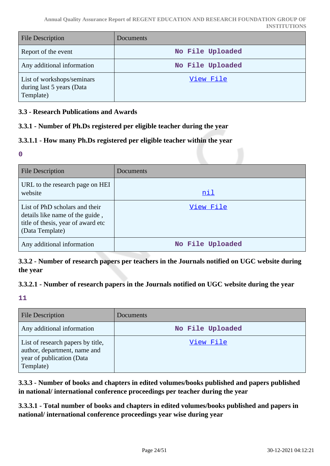| <b>File Description</b>                                              | <b>Documents</b> |
|----------------------------------------------------------------------|------------------|
| Report of the event                                                  | No File Uploaded |
| Any additional information                                           | No File Uploaded |
| List of workshops/seminars<br>during last 5 years (Data<br>Template) | View File        |

# **3.3 - Research Publications and Awards**

# **3.3.1 - Number of Ph.Ds registered per eligible teacher during the year**

# **3.3.1.1 - How many Ph.Ds registered per eligible teacher within the year**

**0**

| <b>File Description</b>                                                                                                    | Documents        |
|----------------------------------------------------------------------------------------------------------------------------|------------------|
| URL to the research page on HEI<br>website                                                                                 | nil              |
| List of PhD scholars and their<br>details like name of the guide,<br>title of thesis, year of award etc<br>(Data Template) | View File        |
| Any additional information                                                                                                 | No File Uploaded |

**3.3.2 - Number of research papers per teachers in the Journals notified on UGC website during the year**

#### **3.3.2.1 - Number of research papers in the Journals notified on UGC website during the year**

**11**

| <b>File Description</b>                                                                                     | Documents        |
|-------------------------------------------------------------------------------------------------------------|------------------|
| Any additional information                                                                                  | No File Uploaded |
| List of research papers by title,<br>author, department, name and<br>year of publication (Data<br>Template) | View File        |

**3.3.3 - Number of books and chapters in edited volumes/books published and papers published in national/ international conference proceedings per teacher during the year**

**3.3.3.1 - Total number of books and chapters in edited volumes/books published and papers in national/ international conference proceedings year wise during year**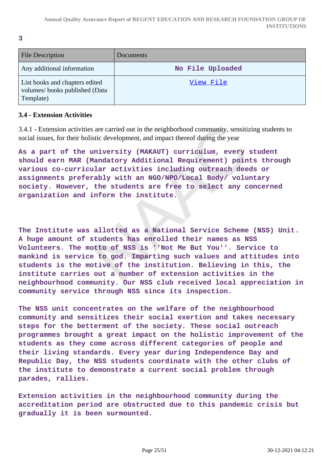**3**

| <b>File Description</b>                                                      | Documents        |
|------------------------------------------------------------------------------|------------------|
| Any additional information                                                   | No File Uploaded |
| List books and chapters edited<br>volumes/books published (Data<br>Template) | View File        |

#### **3.4 - Extension Activities**

3.4.1 - Extension activities are carried out in the neighborhood community, sensitizing students to social issues, for their holistic development, and impact thereof during the year

**As a part of the university (MAKAUT) curriculum, every student should earn MAR (Mandatory Additional Requirement) points through various co-curricular activities including outreach deeds or assignments preferably with an NGO/NPO/Local Body/ voluntary society. However, the students are free to select any concerned organization and inform the institute.**

**The Institute was allotted as a National Service Scheme (NSS) Unit. A huge amount of students has enrolled their names as NSS Volunteers. The motto of NSS is ''Not Me But You''. Service to mankind is service to god. Imparting such values and attitudes into students is the motive of the institution. Believing in this, the institute carries out a number of extension activities in the neighbourhood community. Our NSS club received local appreciation in community service through NSS since its inspection.**

**The NSS unit concentrates on the welfare of the neighbourhood community and sensitizes their social exertion and takes necessary steps for the betterment of the society. These social outreach programmes brought a great impact on the holistic improvement of the students as they come across different categories of people and their living standards. Every year during Independence Day and Republic Day, the NSS students coordinate with the other clubs of the institute to demonstrate a current social problem through parades, rallies.**

**Extension activities in the neighbourhood community during the accreditation period are obstructed due to this pandemic crisis but gradually it is been surmounted.**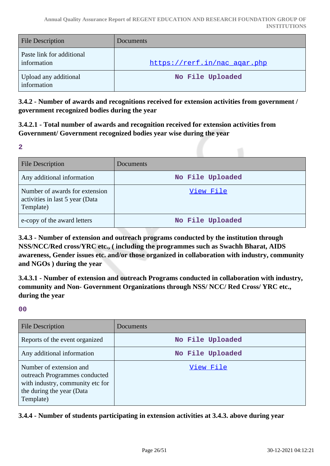| <b>File Description</b>                  | Documents                    |
|------------------------------------------|------------------------------|
| Paste link for additional<br>information | https://rerf.in/nac agar.php |
| Upload any additional<br>information     | No File Uploaded             |

**3.4.2 - Number of awards and recognitions received for extension activities from government / government recognized bodies during the year**

**3.4.2.1 - Total number of awards and recognition received for extension activities from Government/ Government recognized bodies year wise during the year**

**2**

| <b>File Description</b>                                                        | <b>Documents</b> |
|--------------------------------------------------------------------------------|------------------|
| Any additional information                                                     | No File Uploaded |
| Number of awards for extension<br>activities in last 5 year (Data<br>Template) | View File        |
| e-copy of the award letters                                                    | No File Uploaded |

**3.4.3 - Number of extension and outreach programs conducted by the institution through NSS/NCC/Red cross/YRC etc., ( including the programmes such as Swachh Bharat, AIDS awareness, Gender issues etc. and/or those organized in collaboration with industry, community and NGOs ) during the year**

**3.4.3.1 - Number of extension and outreach Programs conducted in collaboration with industry, community and Non- Government Organizations through NSS/ NCC/ Red Cross/ YRC etc., during the year**

# **00**

| <b>File Description</b>                                                                                                                | Documents        |
|----------------------------------------------------------------------------------------------------------------------------------------|------------------|
| Reports of the event organized                                                                                                         | No File Uploaded |
| Any additional information                                                                                                             | No File Uploaded |
| Number of extension and<br>outreach Programmes conducted<br>with industry, community etc for<br>the during the year (Data<br>Template) | View File        |

**3.4.4 - Number of students participating in extension activities at 3.4.3. above during year**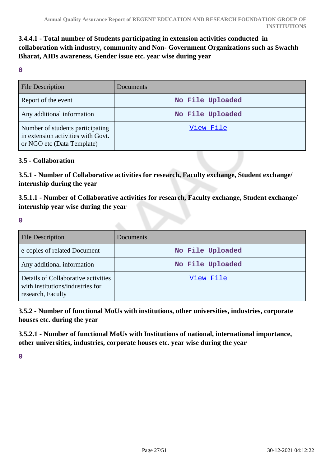# **3.4.4.1 - Total number of Students participating in extension activities conducted in collaboration with industry, community and Non- Government Organizations such as Swachh Bharat, AIDs awareness, Gender issue etc. year wise during year**

**0**

| <b>File Description</b>                                                                              | <b>Documents</b> |
|------------------------------------------------------------------------------------------------------|------------------|
| Report of the event                                                                                  | No File Uploaded |
| Any additional information                                                                           | No File Uploaded |
| Number of students participating<br>in extension activities with Govt.<br>or NGO etc (Data Template) | View File        |

#### **3.5 - Collaboration**

**3.5.1 - Number of Collaborative activities for research, Faculty exchange, Student exchange/ internship during the year**

**3.5.1.1 - Number of Collaborative activities for research, Faculty exchange, Student exchange/ internship year wise during the year**

**0**

| <b>File Description</b>                                                                      | Documents        |
|----------------------------------------------------------------------------------------------|------------------|
| e-copies of related Document                                                                 | No File Uploaded |
| Any additional information                                                                   | No File Uploaded |
| Details of Collaborative activities<br>with institutions/industries for<br>research, Faculty | View File        |

**3.5.2 - Number of functional MoUs with institutions, other universities, industries, corporate houses etc. during the year**

**3.5.2.1 - Number of functional MoUs with Institutions of national, international importance, other universities, industries, corporate houses etc. year wise during the year**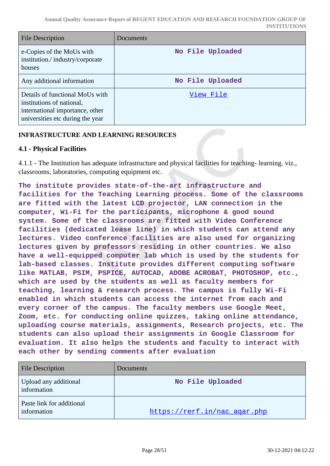| <b>File Description</b>                                                                                                             | Documents        |
|-------------------------------------------------------------------------------------------------------------------------------------|------------------|
| e-Copies of the MoUs with<br>institution./industry/corporate<br>houses                                                              | No File Uploaded |
| Any additional information                                                                                                          | No File Uploaded |
| Details of functional MoUs with<br>institutions of national,<br>international importance, other<br>universities etc during the year | View File        |

# **INFRASTRUCTURE AND LEARNING RESOURCES**

# **4.1 - Physical Facilities**

4.1.1 - The Institution has adequate infrastructure and physical facilities for teaching- learning. viz., classrooms, laboratories, computing equipment etc.

**The institute provides state-of-the-art infrastructure and facilities for the Teaching Learning process. Some of the classrooms are fitted with the latest LCD projector, LAN connection in the computer, Wi-Fi for the participants, microphone & good sound system. Some of the classrooms are fitted with Video Conference facilities (dedicated lease line) in which students can attend any lectures. Video conference facilities are also used for organizing lectures given by professors residing in other countries. We also have a well-equipped computer lab which is used by the students for lab-based classes. Institute provides different computing software like MATLAB, PSIM, PSPICE, AUTOCAD, ADOBE ACROBAT, PHOTOSHOP, etc., which are used by the students as well as faculty members for teaching, learning & research process. The campus is fully Wi-Fi enabled in which students can access the internet from each and every corner of the campus. The faculty members use Google Meet, Zoom, etc. for conducting online quizzes, taking online attendance, uploading course materials, assignments, Research projects, etc. The students can also upload their assignments in Google Classroom for evaluation. It also helps the students and faculty to interact with each other by sending comments after evaluation**

| <b>File Description</b>                  | <b>Documents</b>             |
|------------------------------------------|------------------------------|
| Upload any additional<br>information     | No File Uploaded             |
| Paste link for additional<br>information | https://rerf.in/nac agar.php |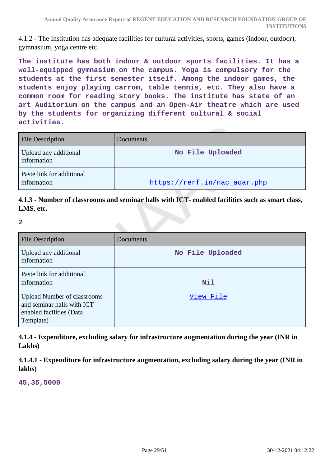4.1.2 - The Institution has adequate facilities for cultural activities, sports, games (indoor, outdoor), gymnasium, yoga centre etc.

**The institute has both indoor & outdoor sports facilities. It has a well-equipped gymnasium on the campus. Yoga is compulsory for the students at the first semester itself. Among the indoor games, the students enjoy playing carrom, table tennis, etc. They also have a common room for reading story books. The institute has state of an art Auditorium on the campus and an Open-Air theatre which are used by the students for organizing different cultural & social activities.**

| <b>File Description</b>                  | <b>Documents</b>             |
|------------------------------------------|------------------------------|
| Upload any additional<br>information     | No File Uploaded             |
| Paste link for additional<br>information | https://rerf.in/nac agar.php |

**4.1.3 - Number of classrooms and seminar halls with ICT- enabled facilities such as smart class, LMS, etc.**

**2**

| <b>File Description</b>                                                                                   | Documents        |
|-----------------------------------------------------------------------------------------------------------|------------------|
| Upload any additional<br>information                                                                      | No File Uploaded |
| Paste link for additional<br>information                                                                  | Nil              |
| <b>Upload Number of classrooms</b><br>and seminar halls with ICT<br>enabled facilities (Data<br>Template) | View File        |

**4.1.4 - Expenditure, excluding salary for infrastructure augmentation during the year (INR in Lakhs)**

**4.1.4.1 - Expenditure for infrastructure augmentation, excluding salary during the year (INR in lakhs)**

**45,35,5000**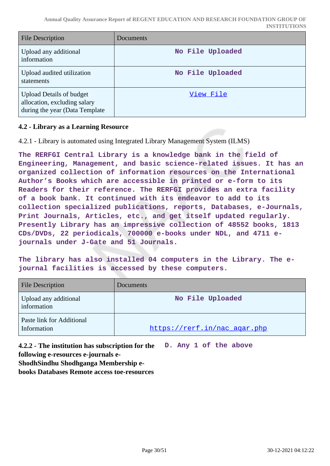| File Description                                                                                   | Documents        |
|----------------------------------------------------------------------------------------------------|------------------|
| Upload any additional<br>information                                                               | No File Uploaded |
| Upload audited utilization<br>statements                                                           | No File Uploaded |
| <b>Upload Details of budget</b><br>allocation, excluding salary<br>during the year (Data Template) | View File        |

# **4.2 - Library as a Learning Resource**

4.2.1 - Library is automated using Integrated Library Management System (ILMS)

**The RERFGI Central Library is a knowledge bank in the field of Engineering, Management, and basic science-related issues. It has an organized collection of information resources on the International Author's Books which are accessible in printed or e-form to its Readers for their reference. The RERFGI provides an extra facility of a book bank. It continued with its endeavor to add to its collection specialized publications, reports, Databases, e-Journals, Print Journals, Articles, etc., and get itself updated regularly. Presently Library has an impressive collection of 48552 books, 1813 CDs/DVDs, 22 periodicals, 700000 e-books under NDL, and 4711 ejournals under J-Gate and 51 Journals.**

**The library has also installed 04 computers in the Library. The ejournal facilities is accessed by these computers.** 

| <b>File Description</b>                  | <b>Documents</b>             |
|------------------------------------------|------------------------------|
| Upload any additional<br>information     | No File Uploaded             |
| Paste link for Additional<br>Information | https://rerf.in/nac_agar.php |

**4.2.2 - The institution has subscription for the D. Any 1 of the above following e-resources e-journals e-**

**ShodhSindhu Shodhganga Membership e-**

**books Databases Remote access toe-resources**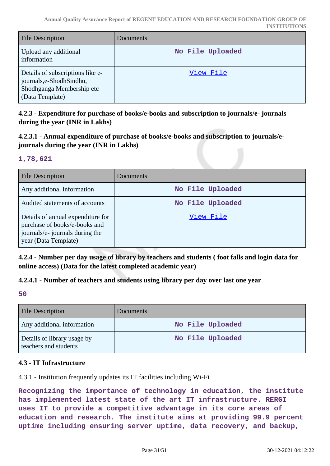| <b>File Description</b>                                                                                       | <b>Documents</b> |
|---------------------------------------------------------------------------------------------------------------|------------------|
| Upload any additional<br>information                                                                          | No File Uploaded |
| Details of subscriptions like e-<br>journals, e-Shodh Sindhu,<br>Shodhganga Membership etc<br>(Data Template) | View File        |

**4.2.3 - Expenditure for purchase of books/e-books and subscription to journals/e- journals during the year (INR in Lakhs)**

**4.2.3.1 - Annual expenditure of purchase of books/e-books and subscription to journals/ejournals during the year (INR in Lakhs)**

#### **1,78,621**

| <b>File Description</b>                                                                                                       | <b>Documents</b> |
|-------------------------------------------------------------------------------------------------------------------------------|------------------|
| Any additional information                                                                                                    | No File Uploaded |
| Audited statements of accounts                                                                                                | No File Uploaded |
| Details of annual expenditure for<br>purchase of books/e-books and<br>journals/e- journals during the<br>year (Data Template) | View File        |

**4.2.4 - Number per day usage of library by teachers and students ( foot falls and login data for online access) (Data for the latest completed academic year)**

# **4.2.4.1 - Number of teachers and students using library per day over last one year**

**50**

| <b>File Description</b>                              | <b>Documents</b> |
|------------------------------------------------------|------------------|
| Any additional information                           | No File Uploaded |
| Details of library usage by<br>teachers and students | No File Uploaded |

#### **4.3 - IT Infrastructure**

4.3.1 - Institution frequently updates its IT facilities including Wi-Fi

**Recognizing the importance of technology in education, the institute has implemented latest state of the art IT infrastructure. RERGI uses IT to provide a competitive advantage in its core areas of education and research. The institute aims at providing 99.9 percent uptime including ensuring server uptime, data recovery, and backup,**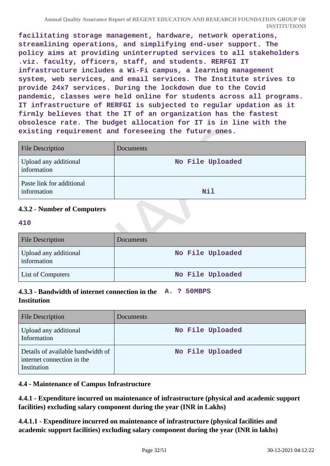**facilitating storage management, hardware, network operations, streamlining operations, and simplifying end-user support. The policy aims at providing uninterrupted services to all stakeholders .viz. faculty, officers, staff, and students. RERFGI IT infrastructure includes a Wi-Fi campus, a learning management system, web services, and email services. The Institute strives to provide 24x7 services. During the lockdown due to the Covid pandemic, classes were held online for students across all programs. IT infrastructure of RERFGI is subjected to regular updation as it firmly believes that the IT of an organization has the fastest obsolesce rate. The budget allocation for IT is in line with the existing requirement and foreseeing the future ones.**

| <b>File Description</b>                  | Documents        |
|------------------------------------------|------------------|
| Upload any additional<br>information     | No File Uploaded |
| Paste link for additional<br>information | <b>Nil</b>       |

# **4.3.2 - Number of Computers**

**410**

| <b>File Description</b>              | Documents        |
|--------------------------------------|------------------|
| Upload any additional<br>information | No File Uploaded |
| <b>List of Computers</b>             | No File Uploaded |

# **4.3.3 - Bandwidth of internet connection in the A. ? 50MBPS Institution**

| <b>File Description</b>                                                        | Documents        |
|--------------------------------------------------------------------------------|------------------|
| Upload any additional<br>Information                                           | No File Uploaded |
| Details of available bandwidth of<br>internet connection in the<br>Institution | No File Uploaded |

# **4.4 - Maintenance of Campus Infrastructure**

**4.4.1 - Expenditure incurred on maintenance of infrastructure (physical and academic support facilities) excluding salary component during the year (INR in Lakhs)**

**4.4.1.1 - Expenditure incurred on maintenance of infrastructure (physical facilities and academic support facilities) excluding salary component during the year (INR in lakhs)**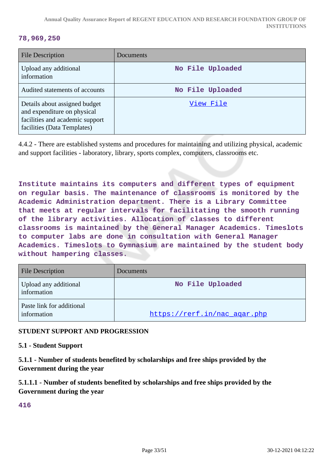#### **78,969,250**

| <b>File Description</b>                                                                                                        | Documents        |
|--------------------------------------------------------------------------------------------------------------------------------|------------------|
| Upload any additional<br>information                                                                                           | No File Uploaded |
| Audited statements of accounts                                                                                                 | No File Uploaded |
| Details about assigned budget<br>and expenditure on physical<br>facilities and academic support<br>facilities (Data Templates) | View File        |

4.4.2 - There are established systems and procedures for maintaining and utilizing physical, academic and support facilities - laboratory, library, sports complex, computers, classrooms etc.

**Institute maintains its computers and different types of equipment on regular basis. The maintenance of classrooms is monitored by the Academic Administration department. There is a Library Committee that meets at regular intervals for facilitating the smooth running of the library activities. Allocation of classes to different classrooms is maintained by the General Manager Academics. Timeslots to computer labs are done in consultation with General Manager Academics. Timeslots to Gymnasium are maintained by the student body without hampering classes.**

| <b>File Description</b>                  | Documents                    |
|------------------------------------------|------------------------------|
| Upload any additional<br>information     | No File Uploaded             |
| Paste link for additional<br>information | https://rerf.in/nac agar.php |

# **STUDENT SUPPORT AND PROGRESSION**

#### **5.1 - Student Support**

**5.1.1 - Number of students benefited by scholarships and free ships provided by the Government during the year**

**5.1.1.1 - Number of students benefited by scholarships and free ships provided by the Government during the year**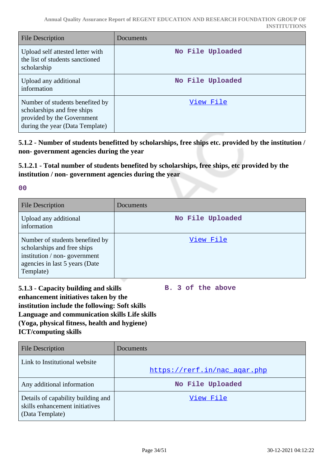| <b>File Description</b>                                                                                                         | Documents        |
|---------------------------------------------------------------------------------------------------------------------------------|------------------|
| Upload self attested letter with<br>the list of students sanctioned<br>scholarship                                              | No File Uploaded |
| Upload any additional<br>information                                                                                            | No File Uploaded |
| Number of students benefited by<br>scholarships and free ships<br>provided by the Government<br>during the year (Data Template) | View File        |

**5.1.2 - Number of students benefitted by scholarships, free ships etc. provided by the institution / non- government agencies during the year**

**5.1.2.1 - Total number of students benefited by scholarships, free ships, etc provided by the institution / non- government agencies during the year**

**00**

| <b>File Description</b>                                                                                                                       | Documents        |
|-----------------------------------------------------------------------------------------------------------------------------------------------|------------------|
| Upload any additional<br>information                                                                                                          | No File Uploaded |
| Number of students benefited by<br>scholarships and free ships<br>institution / non-government<br>agencies in last 5 years (Date<br>Template) | View File        |

**5.1.3 - Capacity building and skills enhancement initiatives taken by the institution include the following: Soft skills Language and communication skills Life skills (Yoga, physical fitness, health and hygiene) ICT/computing skills**

**B. 3 of the above**

| <b>File Description</b>                                                                 | <b>Documents</b>             |
|-----------------------------------------------------------------------------------------|------------------------------|
| Link to Institutional website                                                           | https://rerf.in/nac agar.php |
| Any additional information                                                              | No File Uploaded             |
| Details of capability building and<br>skills enhancement initiatives<br>(Data Template) | View File                    |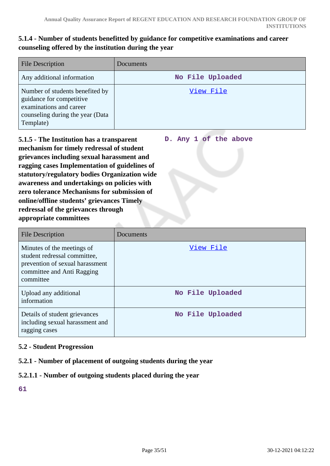# **5.1.4 - Number of students benefitted by guidance for competitive examinations and career counseling offered by the institution during the year**

| <b>File Description</b>                                                                                                                 | Documents        |
|-----------------------------------------------------------------------------------------------------------------------------------------|------------------|
| Any additional information                                                                                                              | No File Uploaded |
| Number of students benefited by<br>guidance for competitive<br>examinations and career<br>counseling during the year (Data<br>Template) | View File        |

**D. Any 1 of the above**

**5.1.5 - The Institution has a transparent mechanism for timely redressal of student grievances including sexual harassment and ragging cases Implementation of guidelines of statutory/regulatory bodies Organization wide awareness and undertakings on policies with zero tolerance Mechanisms for submission of online/offline students' grievances Timely redressal of the grievances through appropriate committees**

| File Description                                                                                                                         | Documents        |
|------------------------------------------------------------------------------------------------------------------------------------------|------------------|
| Minutes of the meetings of<br>student redressal committee,<br>prevention of sexual harassment<br>committee and Anti Ragging<br>committee | View File        |
| Upload any additional<br>information                                                                                                     | No File Uploaded |
| Details of student grievances<br>including sexual harassment and<br>ragging cases                                                        | No File Uploaded |

# **5.2 - Student Progression**

# **5.2.1 - Number of placement of outgoing students during the year**

# **5.2.1.1 - Number of outgoing students placed during the year**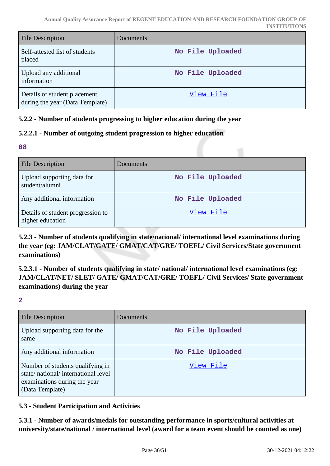| <b>File Description</b>                                         | Documents        |
|-----------------------------------------------------------------|------------------|
| Self-attested list of students<br>placed                        | No File Uploaded |
| Upload any additional<br>information                            | No File Uploaded |
| Details of student placement<br>during the year (Data Template) | View File        |

# **5.2.2 - Number of students progressing to higher education during the year**

# **5.2.2.1 - Number of outgoing student progression to higher education**

**08**

| <b>File Description</b>                               | Documents        |
|-------------------------------------------------------|------------------|
| Upload supporting data for<br>student/alumni          | No File Uploaded |
| Any additional information                            | No File Uploaded |
| Details of student progression to<br>higher education | View File        |

**5.2.3 - Number of students qualifying in state/national/ international level examinations during the year (eg: JAM/CLAT/GATE/ GMAT/CAT/GRE/ TOEFL/ Civil Services/State government examinations)**

**5.2.3.1 - Number of students qualifying in state/ national/ international level examinations (eg: JAM/CLAT/NET/ SLET/ GATE/ GMAT/CAT/GRE/ TOEFL/ Civil Services/ State government examinations) during the year**

**2**

| File Description                                                                                                          | Documents        |
|---------------------------------------------------------------------------------------------------------------------------|------------------|
| Upload supporting data for the<br>same                                                                                    | No File Uploaded |
| Any additional information                                                                                                | No File Uploaded |
| Number of students qualifying in<br>state/national/international level<br>examinations during the year<br>(Data Template) | View File        |

# **5.3 - Student Participation and Activities**

**5.3.1 - Number of awards/medals for outstanding performance in sports/cultural activities at university/state/national / international level (award for a team event should be counted as one)**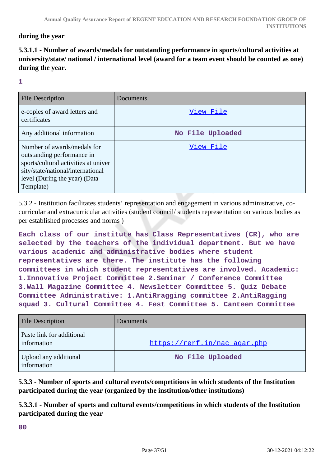# **during the year**

# **5.3.1.1 - Number of awards/medals for outstanding performance in sports/cultural activities at university/state/ national / international level (award for a team event should be counted as one) during the year.**

#### **1**

| <b>File Description</b>                                                                                                                                                              | Documents        |
|--------------------------------------------------------------------------------------------------------------------------------------------------------------------------------------|------------------|
| e-copies of award letters and<br>certificates                                                                                                                                        | View File        |
| Any additional information                                                                                                                                                           | No File Uploaded |
| Number of awards/medals for<br>outstanding performance in<br>sports/cultural activities at univer<br>sity/state/national/international<br>level (During the year) (Data<br>Template) | View File        |

5.3.2 - Institution facilitates students' representation and engagement in various administrative, cocurricular and extracurricular activities (student council/ students representation on various bodies as per established processes and norms )

**Each class of our institute has Class Representatives (CR), who are selected by the teachers of the individual department. But we have various academic and administrative bodies where student representatives are there. The institute has the following committees in which student representatives are involved. Academic: 1.Innovative Project Committee 2.Seminar / Conference Committee 3.Wall Magazine Committee 4. Newsletter Committee 5. Quiz Debate Committee Administrative: 1.AntiRragging committee 2.AntiRagging squad 3. Cultural Committee 4. Fest Committee 5. Canteen Committee**

| <b>File Description</b>                  | Documents                    |
|------------------------------------------|------------------------------|
| Paste link for additional<br>information | https://rerf.in/nac_agar.php |
| Upload any additional<br>information     | No File Uploaded             |

**5.3.3 - Number of sports and cultural events/competitions in which students of the Institution participated during the year (organized by the institution/other institutions)**

**5.3.3.1 - Number of sports and cultural events/competitions in which students of the Institution participated during the year**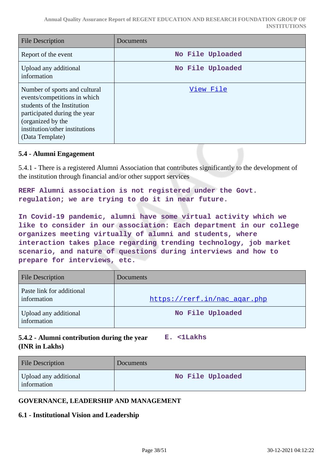| File Description                                                                                                                                                                                       | Documents        |
|--------------------------------------------------------------------------------------------------------------------------------------------------------------------------------------------------------|------------------|
| Report of the event                                                                                                                                                                                    | No File Uploaded |
| Upload any additional<br>information                                                                                                                                                                   | No File Uploaded |
| Number of sports and cultural<br>events/competitions in which<br>students of the Institution<br>participated during the year<br>(organized by the<br>institution/other institutions<br>(Data Template) | View File        |

#### **5.4 - Alumni Engagement**

5.4.1 - There is a registered Alumni Association that contributes significantly to the development of the institution through financial and/or other support services

**RERF Alumni association is not registered under the Govt. regulation; we are trying to do it in near future.**

**In Covid-19 pandemic, alumni have some virtual activity which we like to consider in our association: Each department in our college organizes meeting virtually of alumni and students, where interaction takes place regarding trending technology, job market scenario, and nature of questions during interviews and how to prepare for interviews, etc.** 

| <b>File Description</b>                  | Documents                    |
|------------------------------------------|------------------------------|
| Paste link for additional<br>information | https://rerf.in/nac_agar.php |
| Upload any additional<br>information     | No File Uploaded             |

# **5.4.2 - Alumni contribution during the year E. <1Lakhs (INR in Lakhs)**

| <b>File Description</b>              | Documents        |
|--------------------------------------|------------------|
| Upload any additional<br>information | No File Uploaded |

#### **GOVERNANCE, LEADERSHIP AND MANAGEMENT**

#### **6.1 - Institutional Vision and Leadership**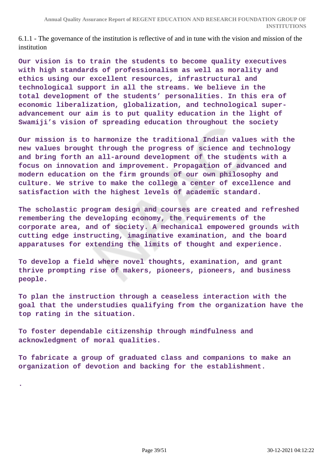6.1.1 - The governance of the institution is reflective of and in tune with the vision and mission of the institution

**Our vision is to train the students to become quality executives with high standards of professionalism as well as morality and ethics using our excellent resources, infrastructural and technological support in all the streams. We believe in the total development of the students' personalities. In this era of economic liberalization, globalization, and technological superadvancement our aim is to put quality education in the light of Swamiji's vision of spreading education throughout the society**

**Our mission is to harmonize the traditional Indian values with the new values brought through the progress of science and technology and bring forth an all-around development of the students with a focus on innovation and improvement. Propagation of advanced and modern education on the firm grounds of our own philosophy and culture. We strive to make the college a center of excellence and satisfaction with the highest levels of academic standard.**

**The scholastic program design and courses are created and refreshed remembering the developing economy, the requirements of the corporate area, and of society. A mechanical empowered grounds with cutting edge instructing, imaginative examination, and the board apparatuses for extending the limits of thought and experience.**

**To develop a field where novel thoughts, examination, and grant thrive prompting rise of makers, pioneers, pioneers, and business people.**

**To plan the instruction through a ceaseless interaction with the goal that the understudies qualifying from the organization have the top rating in the situation.**

**To foster dependable citizenship through mindfulness and acknowledgment of moral qualities.**

**.**

**To fabricate a group of graduated class and companions to make an organization of devotion and backing for the establishment.**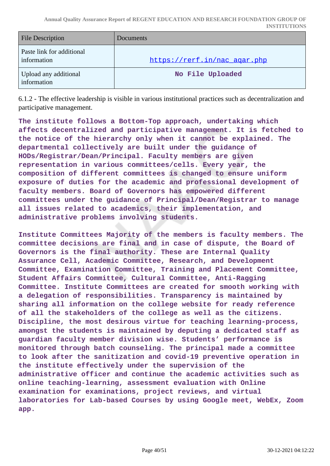| <b>File Description</b>                  | Documents                    |
|------------------------------------------|------------------------------|
| Paste link for additional<br>information | https://rerf.in/nac_agar.php |
| Upload any additional<br>information     | No File Uploaded             |

6.1.2 - The effective leadership is visible in various institutional practices such as decentralization and participative management.

**The institute follows a Bottom-Top approach, undertaking which affects decentralized and participative management. It is fetched to the notice of the hierarchy only when it cannot be explained. The departmental collectively are built under the guidance of HODs/Registrar/Dean/Principal. Faculty members are given representation in various committees/cells. Every year, the composition of different committees is changed to ensure uniform exposure of duties for the academic and professional development of faculty members. Board of Governors has empowered different committees under the guidance of Principal/Dean/Registrar to manage all issues related to academics, their implementation, and administrative problems involving students.**

**Institute Committees Majority of the members is faculty members. The committee decisions are final and in case of dispute, the Board of Governors is the final authority. These are Internal Quality Assurance Cell, Academic Committee, Research, and Development Committee, Examination Committee, Training and Placement Committee, Student Affairs Committee, Cultural Committee, Anti-Ragging Committee. Institute Committees are created for smooth working with a delegation of responsibilities. Transparency is maintained by sharing all information on the college website for ready reference of all the stakeholders of the college as well as the citizens. Discipline, the most desirous virtue for teaching learning-process, amongst the students is maintained by deputing a dedicated staff as guardian faculty member division wise. Students' performance is monitored through batch counseling. The principal made a committee to look after the sanitization and covid-19 preventive operation in the institute effectively under the supervision of the administrative officer and continue the academic activities such as online teaching-learning, assessment evaluation with Online examination for examinations, project reviews, and virtual laboratories for Lab-based Courses by using Google meet, WebEx, Zoom app.**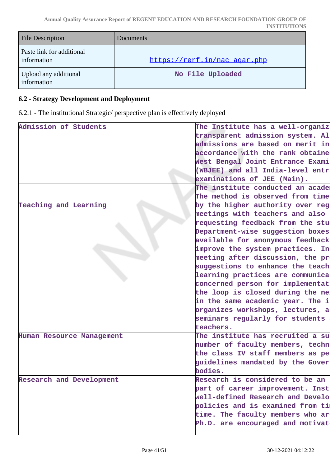| <b>File Description</b>                  | <b>Documents</b>             |
|------------------------------------------|------------------------------|
| Paste link for additional<br>information | https://rerf.in/nac_agar.php |
| Upload any additional<br>information     | No File Uploaded             |

# **6.2 - Strategy Development and Deployment**

6.2.1 - The institutional Strategic/ perspective plan is effectively deployed

| Admission of Students           | The Institute has a well-organiz |
|---------------------------------|----------------------------------|
|                                 | transparent admission system. Al |
|                                 | admissions are based on merit in |
|                                 | accordance with the rank obtaine |
|                                 | West Bengal Joint Entrance Exami |
|                                 | (WBJEE) and all India-level entr |
|                                 | examinations of JEE (Main).      |
|                                 | The institute conducted an acade |
|                                 | The method is observed from time |
| Teaching and Learning           | by the higher authority over reg |
|                                 | meetings with teachers and also  |
|                                 | requesting feedback from the stu |
|                                 | Department-wise suggestion boxes |
|                                 | available for anonymous feedback |
|                                 | improve the system practices. In |
|                                 | meeting after discussion, the pr |
|                                 | suggestions to enhance the teach |
|                                 | learning practices are communica |
|                                 | concerned person for implementat |
|                                 | the loop is closed during the ne |
|                                 | in the same academic year. The i |
|                                 | organizes workshops, lectures, a |
|                                 | seminars regularly for students  |
|                                 | teachers.                        |
| Human Resource Management       | The institute has recruited a su |
|                                 | number of faculty members, techn |
|                                 | the class IV staff members as pe |
|                                 | guidelines mandated by the Gover |
|                                 | bodies.                          |
| <b>Research and Development</b> | Research is considered to be an  |
|                                 | part of career improvement. Inst |
|                                 | well-defined Research and Develo |
|                                 | policies and is examined from ti |
|                                 | time. The faculty members who ar |
|                                 | Ph.D. are encouraged and motivat |
|                                 |                                  |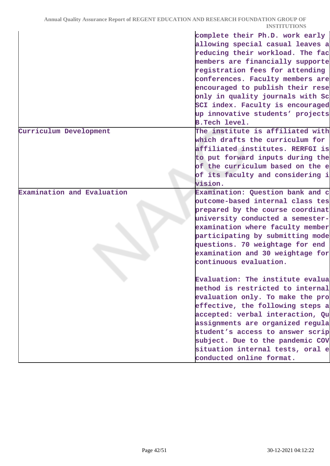|                            | complete their Ph.D. work early  |
|----------------------------|----------------------------------|
|                            | allowing special casual leaves a |
|                            | reducing their workload. The fac |
|                            | members are financially supporte |
|                            | registration fees for attending  |
|                            | conferences. Faculty members are |
|                            | encouraged to publish their rese |
|                            | only in quality journals with Sc |
|                            | SCI index. Faculty is encouraged |
|                            | up innovative students' projects |
|                            | <b>B.Tech level.</b>             |
| Curriculum Development     | The institute is affiliated with |
|                            | which drafts the curriculum for  |
|                            | affiliated institutes. RERFGI is |
|                            | to put forward inputs during the |
|                            | of the curriculum based on the e |
|                            | of its faculty and considering i |
|                            | vision.                          |
| Examination and Evaluation | Examination: Question bank and c |
|                            | outcome-based internal class tes |
|                            | prepared by the course coordinat |
|                            | university conducted a semester- |
|                            | examination where faculty member |
|                            | participating by submitting mode |
|                            | questions. 70 weightage for end  |
|                            | examination and 30 weightage for |
|                            | continuous evaluation.           |
|                            |                                  |
|                            | Evaluation: The institute evalua |
|                            | method is restricted to internal |
|                            | evaluation only. To make the pro |
|                            | effective, the following steps a |
|                            | accepted: verbal interaction, Qu |
|                            | assignments are organized regula |
|                            | student's access to answer scrip |
|                            | subject. Due to the pandemic COV |
|                            | situation internal tests, oral e |
|                            | conducted online format.         |
|                            |                                  |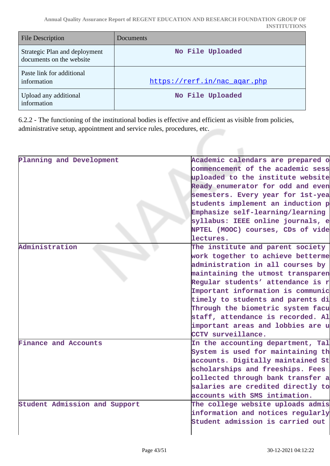**Annual Quality Assurance Report of REGENT EDUCATION AND RESEARCH FOUNDATION GROUP OF INSTITUTIONS**

| <b>File Description</b>                                   | Documents                    |
|-----------------------------------------------------------|------------------------------|
| Strategic Plan and deployment<br>documents on the website | No File Uploaded             |
| Paste link for additional<br>information                  | https://rerf.in/nac agar.php |
| Upload any additional<br>information                      | No File Uploaded             |

6.2.2 - The functioning of the institutional bodies is effective and efficient as visible from policies, administrative setup, appointment and service rules, procedures, etc.

| Planning and Development      | Academic calendars are prepared o |
|-------------------------------|-----------------------------------|
|                               | commencement of the academic sess |
|                               | uploaded to the institute website |
|                               | Ready enumerator for odd and even |
|                               | semesters. Every year for 1st-yea |
|                               | students implement an induction p |
|                               | Emphasize self-learning/learning  |
|                               | syllabus: IEEE online journals, e |
|                               | NPTEL (MOOC) courses, CDs of vide |
|                               | lectures.                         |
| Administration                | The institute and parent society  |
|                               | work together to achieve betterme |
|                               | administration in all courses by  |
|                               | maintaining the utmost transparen |
|                               | Regular students' attendance is r |
|                               | Important information is communic |
|                               | timely to students and parents di |
|                               | Through the biometric system facu |
|                               | staff, attendance is recorded. Al |
|                               | important areas and lobbies are u |
|                               | CCTV surveillance.                |
| Finance and Accounts          | In the accounting department, Tal |
|                               | System is used for maintaining th |
|                               | accounts. Digitally maintained St |
|                               | scholarships and freeships. Fees  |
|                               | collected through bank transfer a |
|                               | salaries are credited directly to |
|                               | accounts with SMS intimation.     |
| Student Admission and Support | The college website uploads admis |
|                               | information and notices regularly |
|                               | Student admission is carried out  |
|                               |                                   |
|                               |                                   |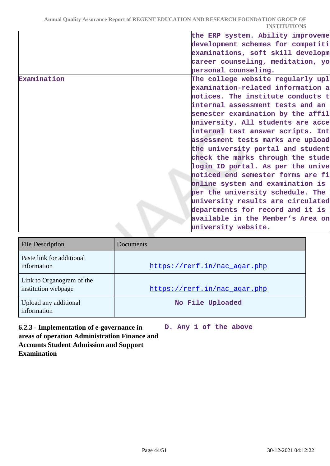| career counseling, meditation, yo<br>personal counseling.<br>The college website regularly upl<br>examination-related information a<br>notices. The institute conducts t<br>internal assessment tests and an<br>semester examination by the affil<br>university. All students are acce<br>internal test answer scripts. Int<br>assessment tests marks are upload<br>the university portal and student<br>check the marks through the stude<br>login ID portal. As per the unive<br>noticed end semester forms are fi<br>online system and examination is<br>per the university schedule. The<br>university results are circulated<br>departments for record and it is<br>available in the Member's Area on<br>university website. |             | the ERP system. Ability improveme |
|-----------------------------------------------------------------------------------------------------------------------------------------------------------------------------------------------------------------------------------------------------------------------------------------------------------------------------------------------------------------------------------------------------------------------------------------------------------------------------------------------------------------------------------------------------------------------------------------------------------------------------------------------------------------------------------------------------------------------------------|-------------|-----------------------------------|
|                                                                                                                                                                                                                                                                                                                                                                                                                                                                                                                                                                                                                                                                                                                                   |             | development schemes for competiti |
|                                                                                                                                                                                                                                                                                                                                                                                                                                                                                                                                                                                                                                                                                                                                   |             | examinations, soft skill developm |
|                                                                                                                                                                                                                                                                                                                                                                                                                                                                                                                                                                                                                                                                                                                                   |             |                                   |
|                                                                                                                                                                                                                                                                                                                                                                                                                                                                                                                                                                                                                                                                                                                                   |             |                                   |
|                                                                                                                                                                                                                                                                                                                                                                                                                                                                                                                                                                                                                                                                                                                                   | Examination |                                   |
|                                                                                                                                                                                                                                                                                                                                                                                                                                                                                                                                                                                                                                                                                                                                   |             |                                   |
|                                                                                                                                                                                                                                                                                                                                                                                                                                                                                                                                                                                                                                                                                                                                   |             |                                   |
|                                                                                                                                                                                                                                                                                                                                                                                                                                                                                                                                                                                                                                                                                                                                   |             |                                   |
|                                                                                                                                                                                                                                                                                                                                                                                                                                                                                                                                                                                                                                                                                                                                   |             |                                   |
|                                                                                                                                                                                                                                                                                                                                                                                                                                                                                                                                                                                                                                                                                                                                   |             |                                   |
|                                                                                                                                                                                                                                                                                                                                                                                                                                                                                                                                                                                                                                                                                                                                   |             |                                   |
|                                                                                                                                                                                                                                                                                                                                                                                                                                                                                                                                                                                                                                                                                                                                   |             |                                   |
|                                                                                                                                                                                                                                                                                                                                                                                                                                                                                                                                                                                                                                                                                                                                   |             |                                   |
|                                                                                                                                                                                                                                                                                                                                                                                                                                                                                                                                                                                                                                                                                                                                   |             |                                   |
|                                                                                                                                                                                                                                                                                                                                                                                                                                                                                                                                                                                                                                                                                                                                   |             |                                   |
|                                                                                                                                                                                                                                                                                                                                                                                                                                                                                                                                                                                                                                                                                                                                   |             |                                   |
|                                                                                                                                                                                                                                                                                                                                                                                                                                                                                                                                                                                                                                                                                                                                   |             |                                   |
|                                                                                                                                                                                                                                                                                                                                                                                                                                                                                                                                                                                                                                                                                                                                   |             |                                   |
|                                                                                                                                                                                                                                                                                                                                                                                                                                                                                                                                                                                                                                                                                                                                   |             |                                   |
|                                                                                                                                                                                                                                                                                                                                                                                                                                                                                                                                                                                                                                                                                                                                   |             |                                   |
|                                                                                                                                                                                                                                                                                                                                                                                                                                                                                                                                                                                                                                                                                                                                   |             |                                   |
|                                                                                                                                                                                                                                                                                                                                                                                                                                                                                                                                                                                                                                                                                                                                   |             |                                   |

| <b>File Description</b>                          | Documents                    |
|--------------------------------------------------|------------------------------|
| Paste link for additional<br>information         | https://rerf.in/nac agar.php |
| Link to Organogram of the<br>institution webpage | https://rerf.in/nac agar.php |
| Upload any additional<br>information             | No File Uploaded             |

**6.2.3 - Implementation of e-governance in areas of operation Administration Finance and Accounts Student Admission and Support Examination D. Any 1 of the above**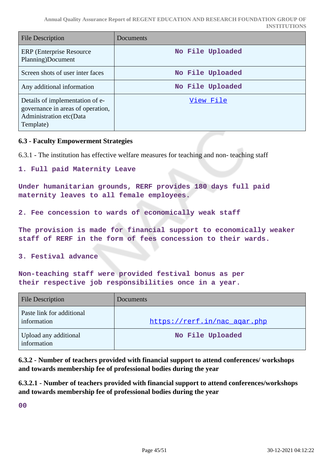| <b>File Description</b>                                                                                      | Documents        |
|--------------------------------------------------------------------------------------------------------------|------------------|
| <b>ERP</b> (Enterprise Resource)<br>Planning)Document                                                        | No File Uploaded |
| Screen shots of user inter faces                                                                             | No File Uploaded |
| Any additional information                                                                                   | No File Uploaded |
| Details of implementation of e-<br>governance in areas of operation,<br>Administration etc(Data<br>Template) | View File        |

#### **6.3 - Faculty Empowerment Strategies**

6.3.1 - The institution has effective welfare measures for teaching and non- teaching staff

```
1. Full paid Maternity Leave
```
**Under humanitarian grounds, RERF provides 180 days full paid maternity leaves to all female employees.**

**2. Fee concession to wards of economically weak staff**

**The provision is made for financial support to economically weaker staff of RERF in the form of fees concession to their wards.**

**3. Festival advance**

**Non-teaching staff were provided festival bonus as per their respective job responsibilities once in a year.**

| <b>File Description</b>                  | <b>Documents</b>             |
|------------------------------------------|------------------------------|
| Paste link for additional<br>information | https://rerf.in/nac_agar.php |
| Upload any additional<br>information     | No File Uploaded             |

**6.3.2 - Number of teachers provided with financial support to attend conferences/ workshops and towards membership fee of professional bodies during the year**

**6.3.2.1 - Number of teachers provided with financial support to attend conferences/workshops and towards membership fee of professional bodies during the year**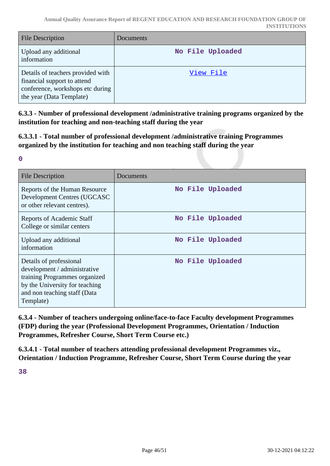| <b>File Description</b>                                                                                                          | <b>Documents</b> |
|----------------------------------------------------------------------------------------------------------------------------------|------------------|
| Upload any additional<br>information                                                                                             | No File Uploaded |
| Details of teachers provided with<br>financial support to attend<br>conference, workshops etc during<br>the year (Data Template) | View File        |

**6.3.3 - Number of professional development /administrative training programs organized by the institution for teaching and non-teaching staff during the year**

**6.3.3.1 - Total number of professional development /administrative training Programmes organized by the institution for teaching and non teaching staff during the year**

| ı<br>× |   |    | ć |  |
|--------|---|----|---|--|
|        | × | ۰. |   |  |
|        |   |    |   |  |

| <b>File Description</b>                                                                                                                                                 | Documents        |
|-------------------------------------------------------------------------------------------------------------------------------------------------------------------------|------------------|
| Reports of the Human Resource<br>Development Centres (UGCASC<br>or other relevant centres).                                                                             | No File Uploaded |
| Reports of Academic Staff<br>College or similar centers                                                                                                                 | No File Uploaded |
| Upload any additional<br>information                                                                                                                                    | No File Uploaded |
| Details of professional<br>development / administrative<br>training Programmes organized<br>by the University for teaching<br>and non teaching staff (Data<br>Template) | No File Uploaded |

**6.3.4 - Number of teachers undergoing online/face-to-face Faculty development Programmes (FDP) during the year (Professional Development Programmes, Orientation / Induction Programmes, Refresher Course, Short Term Course etc.)**

**6.3.4.1 - Total number of teachers attending professional development Programmes viz., Orientation / Induction Programme, Refresher Course, Short Term Course during the year**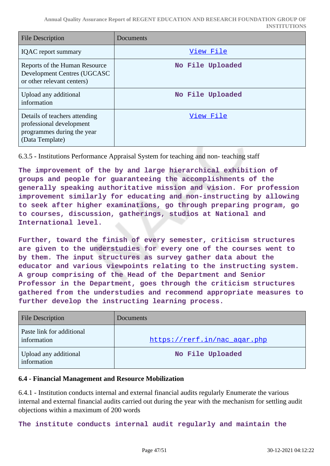| <b>File Description</b>                                                                                    | Documents        |
|------------------------------------------------------------------------------------------------------------|------------------|
| <b>IQAC</b> report summary                                                                                 | View File        |
| Reports of the Human Resource<br>Development Centres (UGCASC<br>or other relevant centers)                 | No File Uploaded |
| Upload any additional<br>information                                                                       | No File Uploaded |
| Details of teachers attending<br>professional development<br>programmes during the year<br>(Data Template) | View File        |

6.3.5 - Institutions Performance Appraisal System for teaching and non- teaching staff

**The improvement of the by and large hierarchical exhibition of groups and people for guaranteeing the accomplishments of the generally speaking authoritative mission and vision. For profession improvement similarly for educating and non-instructing by allowing to seek after higher examinations, go through preparing program, go to courses, discussion, gatherings, studios at National and International level.**

**Further, toward the finish of every semester, criticism structures are given to the understudies for every one of the courses went to by them. The input structures as survey gather data about the educator and various viewpoints relating to the instructing system. A group comprising of the Head of the Department and Senior Professor in the Department, goes through the criticism structures gathered from the understudies and recommend appropriate measures to further develop the instructing learning process.**

| <b>File Description</b>                  | <b>Documents</b>             |
|------------------------------------------|------------------------------|
| Paste link for additional<br>information | https://rerf.in/nac_agar.php |
| Upload any additional<br>information     | No File Uploaded             |

#### **6.4 - Financial Management and Resource Mobilization**

6.4.1 - Institution conducts internal and external financial audits regularly Enumerate the various internal and external financial audits carried out during the year with the mechanism for settling audit objections within a maximum of 200 words

**The institute conducts internal audit regularly and maintain the**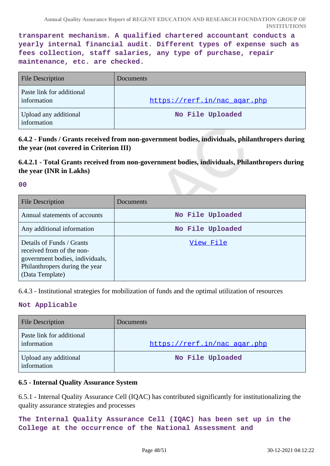**transparent mechanism. A qualified chartered accountant conducts a yearly internal financial audit. Different types of expense such as fees collection, staff salaries, any type of purchase, repair maintenance, etc. are checked.**

| <b>File Description</b>                  | Documents                    |
|------------------------------------------|------------------------------|
| Paste link for additional<br>information | https://rerf.in/nac agar.php |
| Upload any additional<br>information     | No File Uploaded             |

**6.4.2 - Funds / Grants received from non-government bodies, individuals, philanthropers during the year (not covered in Criterion III)**

# **6.4.2.1 - Total Grants received from non-government bodies, individuals, Philanthropers during the year (INR in Lakhs)**

#### **00**

| File Description                                                                                                                               | Documents        |
|------------------------------------------------------------------------------------------------------------------------------------------------|------------------|
| Annual statements of accounts                                                                                                                  | No File Uploaded |
| Any additional information                                                                                                                     | No File Uploaded |
| Details of Funds / Grants<br>received from of the non-<br>government bodies, individuals,<br>Philanthropers during the year<br>(Data Template) | View File        |

6.4.3 - Institutional strategies for mobilization of funds and the optimal utilization of resources

#### **Not Applicable**

| <b>File Description</b>                  | Documents                    |
|------------------------------------------|------------------------------|
| Paste link for additional<br>information | https://rerf.in/nac_agar.php |
| Upload any additional<br>information     | No File Uploaded             |

#### **6.5 - Internal Quality Assurance System**

6.5.1 - Internal Quality Assurance Cell (IQAC) has contributed significantly for institutionalizing the quality assurance strategies and processes

**The Internal Quality Assurance Cell (IQAC) has been set up in the College at the occurrence of the National Assessment and**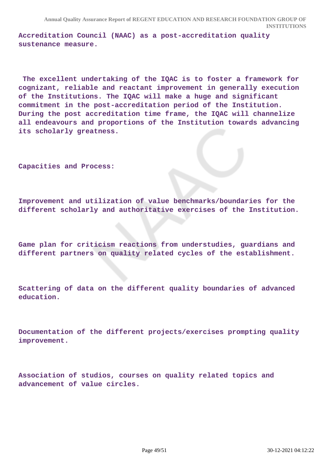**Accreditation Council (NAAC) as a post-accreditation quality sustenance measure.**

 **The excellent undertaking of the IQAC is to foster a framework for cognizant, reliable and reactant improvement in generally execution of the Institutions. The IQAC will make a huge and significant commitment in the post-accreditation period of the Institution. During the post accreditation time frame, the IQAC will channelize all endeavours and proportions of the Institution towards advancing its scholarly greatness.**

**Capacities and Process:**

**Improvement and utilization of value benchmarks/boundaries for the different scholarly and authoritative exercises of the Institution.**

**Game plan for criticism reactions from understudies, guardians and different partners on quality related cycles of the establishment.**

**Scattering of data on the different quality boundaries of advanced education.**

**Documentation of the different projects/exercises prompting quality improvement.**

**Association of studios, courses on quality related topics and advancement of value circles.**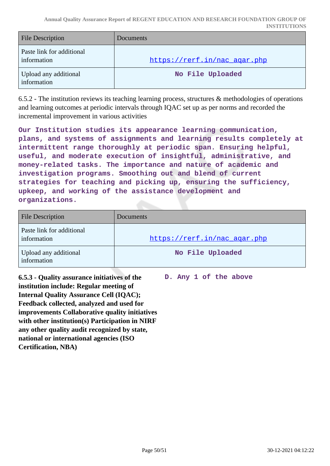**Annual Quality Assurance Report of REGENT EDUCATION AND RESEARCH FOUNDATION GROUP OF INSTITUTIONS**

| <b>File Description</b>                  | Documents                    |
|------------------------------------------|------------------------------|
| Paste link for additional<br>information | https://rerf.in/nac_agar.php |
| Upload any additional<br>information     | No File Uploaded             |

6.5.2 - The institution reviews its teaching learning process, structures & methodologies of operations and learning outcomes at periodic intervals through IQAC set up as per norms and recorded the incremental improvement in various activities

**Our Institution studies its appearance learning communication, plans, and systems of assignments and learning results completely at intermittent range thoroughly at periodic span. Ensuring helpful, useful, and moderate execution of insightful, administrative, and money-related tasks. The importance and nature of academic and investigation programs. Smoothing out and blend of current strategies for teaching and picking up, ensuring the sufficiency, upkeep, and working of the assistance development and organizations.** 

| <b>File Description</b>                  | Documents                    |
|------------------------------------------|------------------------------|
| Paste link for additional<br>information | https://rerf.in/nac agar.php |
| Upload any additional<br>information     | No File Uploaded             |

**6.5.3 - Quality assurance initiatives of the institution include: Regular meeting of Internal Quality Assurance Cell (IQAC); Feedback collected, analyzed and used for improvements Collaborative quality initiatives with other institution(s) Participation in NIRF any other quality audit recognized by state, national or international agencies (ISO Certification, NBA)**

**D. Any 1 of the above**